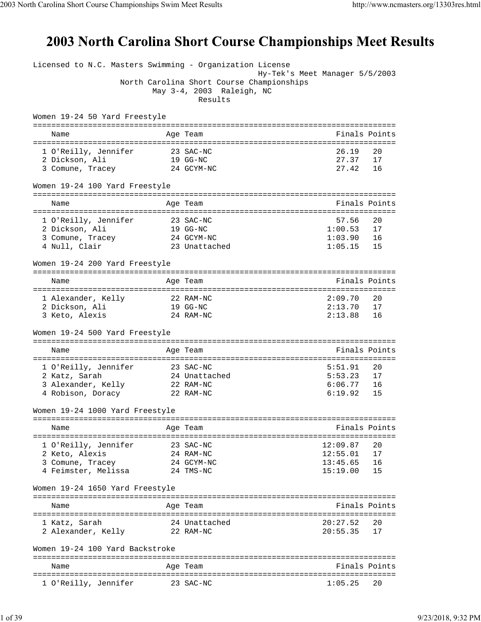## 2003 North Carolina Short Course Championships Meet Results

Licensed to N.C. Masters Swimming - Organization License Hy-Tek's Meet Manager 5/5/2003 North Carolina Short Course Championships May 3-4, 2003 Raleigh, NC Results Women 19-24 50 Yard Freestyle =============================================================================== Name **Age Team** Age Team Finals Points =============================================================================== 1 O'Reilly, Jennifer 23 SAC-NC 26.19 20 2 Dickson, Ali 19 GG-NC 27.37 17 3 Comune, Tracey 24 GCYM-NC 27.42 16 Women 19-24 100 Yard Freestyle =============================================================================== Name **Age Team** Age Team Finals Points =============================================================================== 1 O'Reilly, Jennifer 23 SAC-NC 57.56 20 2 Dickson, Ali 19 GG-NC 1:00.53 17 3 Comune, Tracey 24 GCYM-NC 1:03.90 16 4 Null, Clair 23 Unattached 1:05.15 15 Women 19-24 200 Yard Freestyle =============================================================================== Name Age Team and the Finals Points Report of the Age Team and the Age of the Age of the Age of the Age of the =============================================================================== 1 Alexander, Kelly 22 RAM-NC 2:09.70 20 2 Dickson, Ali 19 GG-NC 2:13.70 17 3 Keto, Alexis 24 RAM-NC 2:13.88 16 Women 19-24 500 Yard Freestyle =============================================================================== Name Age Team Age Team Finals Points Points Age Team Age of the Manual Points Points Points Points Points Points =============================================================================== 1 O'Reilly, Jennifer 23 SAC-NC 5:51.91 20<br>2 Katz, Sarah 24 Unattached 5:53.23 17 2 Katz, Sarah 24 Unattached 5:53.23 17 3 Alexander, Kelly 22 RAM-NC 6:06.77 16 4 Robison, Doracy 22 RAM-NC 6:19.92 15 Women 19-24 1000 Yard Freestyle =============================================================================== Name Age Team Finals Points =============================================================================== 1 O'Reilly, Jennifer 23 SAC-NC 12:09.87 20 2 Keto, Alexis 24 RAM-NC 12:55.01 17 3 Comune, Tracey 24 GCYM-NC 13:45.65 16 4 Feimster, Melissa 24 TMS-NC 15:19.00 15 Women 19-24 1650 Yard Freestyle =============================================================================== Name Age Team Finals Points =============================================================================== 1 Katz, Sarah 24 Unattached 20:27.52 20 2 Alexander, Kelly 22 RAM-NC 20:55.35 17 Women 19-24 100 Yard Backstroke =============================================================================== Name **Age Team** Age Team Finals Points =============================================================================== 1 O'Reilly, Jennifer 23 SAC-NC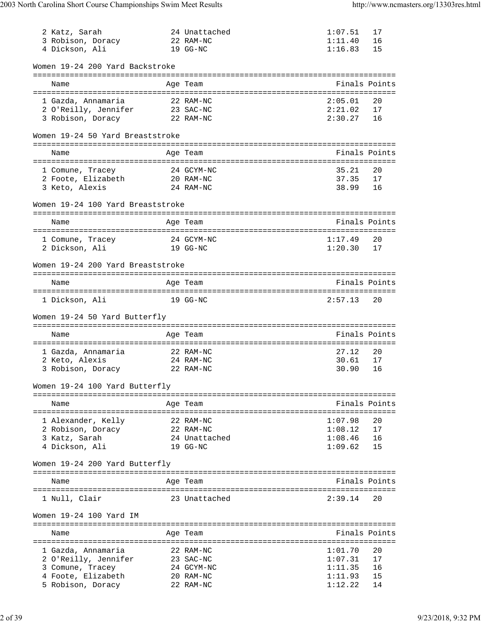| 2 Katz, Sarah<br>3 Robison, Doracy<br>4 Dickson, Ali            | 24 Unattached<br>22 RAM-NC<br>19 GG-NC | 1:07.51<br>1:11.40<br>1:16.83 | 17<br>16<br>15 |
|-----------------------------------------------------------------|----------------------------------------|-------------------------------|----------------|
| Women 19-24 200 Yard Backstroke                                 |                                        |                               |                |
| Name                                                            | Age Team                               |                               | Finals Points  |
| 1 Gazda, Annamaria<br>2 O'Reilly, Jennifer<br>3 Robison, Doracy | 22 RAM-NC<br>23 SAC-NC<br>22 RAM-NC    | 2:05.01<br>2:21.02<br>2:30.27 | 20<br>17<br>16 |
| Women 19-24 50 Yard Breaststroke                                |                                        |                               |                |
|                                                                 |                                        |                               |                |
| Name                                                            | Age Team                               |                               | Finals Points  |
| 1 Comune, Tracey                                                | 24 GCYM-NC                             | 35.21                         | 20             |
| 2 Foote, Elizabeth                                              | 20 RAM-NC                              | 37.35                         | 17             |
| 3 Keto, Alexis                                                  | 24 RAM-NC                              | 38.99                         | 16             |
| Women 19-24 100 Yard Breaststroke                               |                                        |                               |                |
| Name                                                            | Age Team                               |                               | Finals Points  |
| 1 Comune, Tracey                                                | 24 GCYM-NC                             | 1:17.49                       | 20             |
| 2 Dickson, Ali                                                  | 19 GG-NC                               | 1:20.30                       | 17             |
| Women 19-24 200 Yard Breaststroke                               |                                        |                               |                |
|                                                                 |                                        |                               |                |
| Name                                                            | Age Team                               |                               | Finals Points  |
| 1 Dickson, Ali                                                  | 19 GG-NC                               | 2:57.13                       | 20             |
| Women 19-24 50 Yard Butterfly                                   |                                        |                               |                |
|                                                                 |                                        |                               | Finals Points  |
| Name                                                            | Age Team                               |                               |                |
| 1 Gazda, Annamaria                                              | 22 RAM-NC                              | 27.12                         | 20             |
| 2 Keto, Alexis                                                  | 24 RAM-NC                              | 30.61                         | 17             |
| 3 Robison, Doracy<br>22 RAM-NC                                  |                                        | 30.90                         | 16             |
| Women 19-24 100 Yard Butterfly                                  |                                        |                               |                |
| Name                                                            | Age Team                               |                               | Finals Points  |
| 1 Alexander, Kelly                                              | 22 RAM-NC                              | 1:07.98                       | 20             |
| 2 Robison, Doracy                                               | 22 RAM-NC                              | 1:08.12                       | 17             |
| 3 Katz, Sarah                                                   | 24 Unattached                          | 1:08.46                       | 16             |
| 4 Dickson, Ali                                                  | 19 GG-NC                               | 1:09.62                       | 15             |
| Women 19-24 200 Yard Butterfly                                  |                                        |                               |                |
| Name                                                            | Age Team                               |                               | Finals Points  |
|                                                                 |                                        |                               |                |
| 1 Null, Clair                                                   | 23 Unattached                          | 2:39.14                       | 20             |
| Women 19-24 100 Yard IM                                         |                                        |                               |                |
| Name                                                            | Age Team                               |                               | Finals Points  |
| 1 Gazda, Annamaria                                              | 22 RAM-NC                              | 1:01.70                       | 20             |
| 2 O'Reilly, Jennifer                                            | 23 SAC-NC                              | 1:07.31                       | 17             |
| 3 Comune, Tracey                                                | 24 GCYM-NC                             | 1:11.35                       | 16             |
| 4 Foote, Elizabeth                                              | 20 RAM-NC                              | 1:11.93                       | 15             |
| 5 Robison, Doracy                                               | 22 RAM-NC                              | 1:12.22                       | 14             |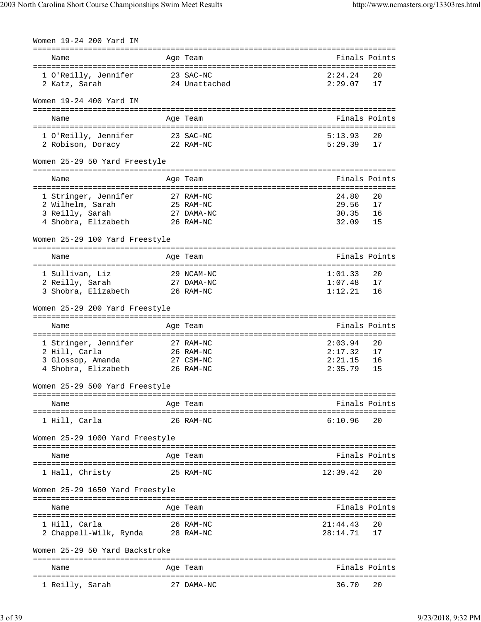| Women 19-24 200 Yard IM                                                                                                             |                        |                                          |                      |
|-------------------------------------------------------------------------------------------------------------------------------------|------------------------|------------------------------------------|----------------------|
| Name                                                                                                                                | Age Team               | :==============================          | Finals Points        |
| 1 O'Reilly, Jennifer 23 SAC-NC<br>2 Katz, Sarah                                                                                     | 24 Unattached          | 2:24.24<br>2:29.07                       | 20<br>17             |
| Women 19-24 400 Yard IM                                                                                                             |                        |                                          |                      |
| Name                                                                                                                                | Age Team               |                                          | Finals Points        |
| 1 O'Reilly, Jennifer         23 SAC-NC<br>2 Robison, Doracy           22 RAM-NC                                                     |                        | 5:13.93<br>5:29.39                       | 20<br>17             |
| Women 25-29 50 Yard Freestyle                                                                                                       |                        |                                          |                      |
| Name                                                                                                                                | Age Team               |                                          | Finals Points        |
| 1 Stringer, Jennifer 27 RAM-NC<br>$25$ RAM-NC<br>2 Wilhelm, Sarah<br>27 DAMA-NC<br>3 Reilly, Sarah<br>4 Shobra, Elizabeth 26 RAM-NC |                        | 24.80<br>29.56<br>30.35<br>32.09         | 20<br>17<br>16<br>15 |
| Women 25-29 100 Yard Freestyle                                                                                                      |                        |                                          |                      |
| Name                                                                                                                                | Age Team               |                                          | Finals Points        |
| 29 NCAM-NC<br>1 Sullivan, Liz<br>2 Reilly, Sarah<br>3 Shobra, Elizabeth 26 RAM-NC                                                   | 27 DAMA-NC             | 1:01.33<br>1:07.48<br>1:12.21            | 20<br>17<br>16       |
| Women 25-29 200 Yard Freestyle                                                                                                      |                        |                                          |                      |
| Name                                                                                                                                | Age Team               |                                          | Finals Points        |
| 1 Stringer, Jennifer<br>2 Hill, Carla<br>3 Glossop, Amanda 27 CSM-NC<br>4 Shobra, Elizabeth 26 RAM-NC                               | 27 RAM-NC<br>26 RAM-NC | 2:03.94<br>2:17.32<br>2:21.15<br>2:35.79 | 20<br>17<br>16<br>15 |
| Women 25-29 500 Yard Freestyle                                                                                                      |                        |                                          |                      |
| Name                                                                                                                                | Age Team               |                                          | Finals Points        |
| 1 Hill, Carla                                                                                                                       | 26 RAM-NC              | 6:10.96                                  | 20                   |
| Women 25-29 1000 Yard Freestyle                                                                                                     |                        |                                          |                      |
| Name                                                                                                                                | Age Team               |                                          | Finals Points        |
| 1 Hall, Christy                                                                                                                     | 25 RAM-NC              | 12:39.42                                 | 20                   |
| Women 25-29 1650 Yard Freestyle                                                                                                     |                        |                                          |                      |
| Name                                                                                                                                | Age Team               |                                          | Finals Points        |
| 1 Hill, Carla<br>2 Chappell-Wilk, Rynda 28 RAM-NC                                                                                   | 26 RAM-NC              | 21:44.43<br>28:14.71                     | 20<br>17             |
| Women 25-29 50 Yard Backstroke                                                                                                      |                        |                                          |                      |
| Name                                                                                                                                | Age Team               |                                          | Finals Points        |
| 1 Reilly, Sarah                                                                                                                     | 27 DAMA-NC             | 36.70                                    | 20                   |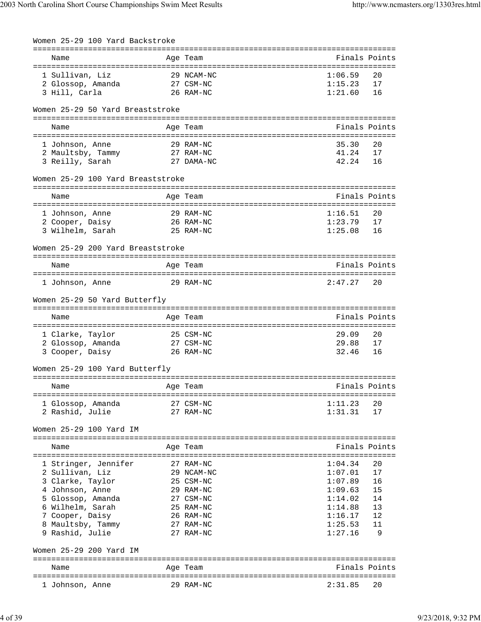| Women 25-29 100 Yard Backstroke      |          |                        |                    |               |
|--------------------------------------|----------|------------------------|--------------------|---------------|
| Name                                 | Age Team |                        |                    | Finals Points |
| 1 Sullivan, Liz                      |          | 29 NCAM-NC             | 1:06.59            | 20            |
| 2 Glossop, Amanda                    |          | 27 CSM-NC              | 1:15.23            | 17            |
| 3 Hill, Carla                        |          | 26 RAM-NC              | 1:21.60            | 16            |
| Women 25-29 50 Yard Breaststroke     |          |                        |                    |               |
| Name                                 | Age Team |                        |                    | Finals Points |
| 1 Johnson, Anne                      |          | 29 RAM-NC              | 35.30              | 20            |
| 2 Maultsby, Tammy 27 RAM-NC          |          |                        | 41.24              | 17            |
| 3 Reilly, Sarah                      |          | 27 DAMA-NC             | 42.24              | 16            |
| Women 25-29 100 Yard Breaststroke    |          |                        |                    |               |
|                                      |          |                        |                    |               |
| Name                                 | Age Team |                        |                    | Finals Points |
| 1 Johnson, Anne                      |          | 29 RAM-NC              | 1:16.51            | 20            |
| 2 Cooper, Daisy                      |          | 26 RAM-NC              | 1:23.79            | 17            |
| 3 Wilhelm, Sarah                     |          | 25 RAM-NC              | 1:25.08            | 16            |
| Women 25-29 200 Yard Breaststroke    |          |                        |                    |               |
| Name                                 | Age Team |                        |                    | Finals Points |
|                                      |          |                        |                    |               |
| 1 Johnson, Anne                      |          | 29 RAM-NC              | 2:47.27            | 20            |
| Women 25-29 50 Yard Butterfly        |          |                        |                    |               |
| Name                                 | Age Team |                        |                    | Finals Points |
| 1 Clarke, Taylor                     |          | 25 CSM-NC              | 29.09              | 20            |
| 2 Glossop, Amanda                    |          | 27 CSM-NC              | 29.88              | 17            |
| 3 Cooper, Daisy                      |          | 26 RAM-NC              | 32.46              | 16            |
| Women 25-29 100 Yard Butterfly       |          |                        |                    |               |
| Name                                 | Age Team | --------               |                    | Finals Points |
|                                      |          |                        |                    |               |
| 1 Glossop, Amanda<br>2 Rashid, Julie |          | 27 CSM-NC<br>27 RAM-NC | 1:11.23<br>1:31.31 | 20<br>17      |
|                                      |          |                        |                    |               |
| Women 25-29 100 Yard IM              |          |                        |                    |               |
| Name                                 | Age Team |                        |                    | Finals Points |
|                                      |          |                        |                    |               |
| 1 Stringer, Jennifer                 |          | 27 RAM-NC              | 1:04.34            | 20            |
| 2 Sullivan, Liz                      |          | 29 NCAM-NC             | 1:07.01            | 17            |
| 3 Clarke, Taylor                     |          | 25 CSM-NC              | 1:07.89            | 16            |
| 4 Johnson, Anne                      |          | 29 RAM-NC              | 1:09.63            | 15            |
| 5 Glossop, Amanda                    |          | 27 CSM-NC              | 1:14.02            | 14            |
| 6 Wilhelm, Sarah                     |          | 25 RAM-NC              | 1:14.88            | 13            |
| 7 Cooper, Daisy                      |          | 26 RAM-NC<br>27 RAM-NC | 1:16.17<br>1:25.53 | 12<br>11      |
| 8 Maultsby, Tammy<br>9 Rashid, Julie |          | 27 RAM-NC              | 1:27.16            | 9             |
| Women 25-29 200 Yard IM              |          |                        |                    |               |
|                                      |          |                        |                    |               |
| Name                                 | Age Team |                        |                    | Finals Points |
|                                      |          |                        |                    |               |
| 1 Johnson, Anne                      |          | 29 RAM-NC              | 2:31.85            | 20            |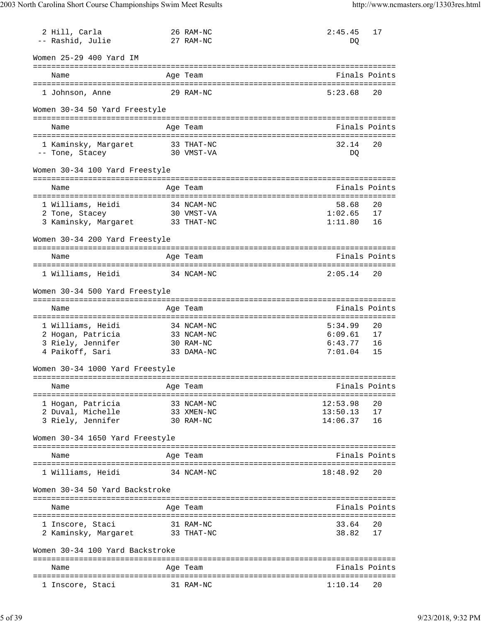| 2 Hill, Carla                              |            | 26 RAM-NC               | 2:45.45            | 17            |
|--------------------------------------------|------------|-------------------------|--------------------|---------------|
| -- Rashid, Julie                           |            | 27 RAM-NC               | DO                 |               |
| Women 25-29 400 Yard IM                    |            |                         |                    |               |
| Name                                       |            | Age Team                |                    | Finals Points |
| 1 Johnson, Anne                            | 29 RAM-NC  |                         | 5:23.68            | 20            |
| Women 30-34 50 Yard Freestyle              |            |                         |                    |               |
| Name                                       |            | Age Team                |                    | Finals Points |
|                                            |            |                         |                    |               |
| 1 Kaminsky, Margaret                       | 33 THAT-NC |                         | 32.14              | 20            |
| -- Tone, Stacey                            | 30 VMST-VA |                         | DQ                 |               |
| Women 30-34 100 Yard Freestyle             |            |                         |                    |               |
| Name                                       |            | Age Team                |                    | Finals Points |
| 1 Williams, Heidi                          | 34 NCAM-NC |                         | 58.68              | 20            |
| 2 Tone, Stacey                             | 30 VMST-VA |                         | 1:02.65            | 17            |
| 3 Kaminsky, Margaret 33 THAT-NC            |            |                         | 1:11.80            | 16            |
| Women 30-34 200 Yard Freestyle             |            |                         |                    |               |
| Name                                       |            | Age Team                |                    | Finals Points |
|                                            |            |                         |                    |               |
| 1 Williams, Heidi                          | 34 NCAM-NC |                         | 2:05.14            | 20            |
| Women 30-34 500 Yard Freestyle             |            |                         |                    |               |
| Name                                       |            | Age Team                |                    | Finals Points |
|                                            |            |                         |                    |               |
| 1 Williams, Heidi                          |            | 34 NCAM-NC              | 5:34.99            | 20            |
| 2 Hogan, Patricia<br>3 Riely, Jennifer     |            | 33 NCAM-NC<br>30 RAM-NC | 6:09.61<br>6:43.77 | 17<br>16      |
| 4 Paikoff, Sari                            |            | 33 DAMA-NC              | 7:01.04            | 15            |
| Women 30-34 1000 Yard Freestyle            |            |                         |                    |               |
|                                            |            |                         |                    |               |
| Name<br>================================== |            | Age Team                |                    | Finals Points |
| 1 Hogan, Patricia                          |            | 33 NCAM-NC              | 12:53.98           | 20            |
| 2 Duval, Michelle                          |            | 33 XMEN-NC              | 13:50.13           | 17            |
| 3 Riely, Jennifer                          |            | 30 RAM-NC               | 14:06.37           | 16            |
| Women 30-34 1650 Yard Freestyle            |            |                         |                    |               |
| Name                                       |            | Age Team                |                    | Finals Points |
| 1 Williams, Heidi                          |            | 34 NCAM-NC              | 18:48.92           | 20            |
| Women 30-34 50 Yard Backstroke             |            |                         |                    |               |
| Name                                       |            | Age Team                |                    | Finals Points |
| ======================================     |            |                         | :==========        |               |
| 1 Inscore, Staci                           |            | 31 RAM-NC               | 33.64              | 20            |
| 2 Kaminsky, Margaret                       |            | 33 THAT-NC              | 38.82              | 17            |
| Women 30-34 100 Yard Backstroke            |            |                         |                    |               |
| Name                                       |            | Age Team                |                    | Finals Points |
| l Inscore, Staci                           |            | 31 RAM-NC               | 1:10.14            | 20            |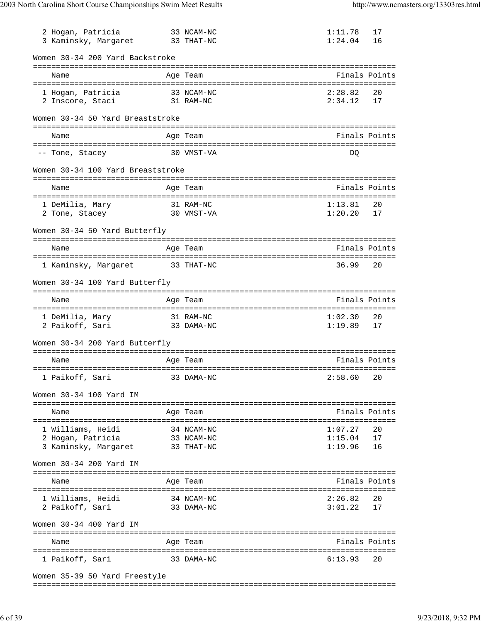| 2 Hogan, Patricia<br>3 Kaminsky, Margaret               | 33 NCAM-NC<br>33 THAT-NC | 1:11.78<br>1:24.04 | 17<br>16 |
|---------------------------------------------------------|--------------------------|--------------------|----------|
| Women 30-34 200 Yard Backstroke                         |                          |                    |          |
| Name                                                    | Age Team                 | Finals Points      |          |
| 1 Hogan, Patricia                                       | 33 NCAM-NC               | 2:28.82            | 20       |
| 2 Inscore, Staci                                        | 31 RAM-NC                | 2:34.12            | 17       |
| Women 30-34 50 Yard Breaststroke                        |                          |                    |          |
| Name                                                    | Age Team                 | Finals Points      |          |
| -- Tone, Stacey                                         | 30 VMST-VA               | DO                 |          |
| Women 30-34 100 Yard Breaststroke                       |                          |                    |          |
|                                                         |                          |                    |          |
| Name                                                    | Age Team                 | Finals Points      |          |
| 1 DeMilia, Mary                                         | 31 RAM-NC                | 1:13.81            | 20       |
| 2 Tone, Stacey                                          | 30 VMST-VA               | 1:20.20            | 17       |
| Women 30-34 50 Yard Butterfly                           |                          |                    |          |
| Name                                                    | Age Team                 | Finals Points      |          |
|                                                         |                          |                    |          |
| 1 Kaminsky, Margaret                                    | 33 THAT-NC               | 36.99              | 20       |
| Women 30-34 100 Yard Butterfly                          |                          |                    |          |
| Name                                                    | Age Team                 | Finals Points      |          |
|                                                         |                          |                    |          |
| 1 DeMilia, Mary 31 RAM-NC<br>2 Paikoff, Sari 33 DAMA-NC |                          | 1:02.30<br>1:19.89 | 20<br>17 |
| Women 30-34 200 Yard Butterfly                          |                          |                    |          |
| Name                                                    | Age Team                 | Finals Points      |          |
|                                                         |                          |                    |          |
| 1 Paikoff, Sari                                         | 33 DAMA-NC               | 2:58.60 20         |          |
| Women 30-34 100 Yard IM                                 |                          |                    |          |
| Name                                                    | Age Team                 | Finals Points      |          |
| 1 Williams, Heidi                                       | 34 NCAM-NC               | 1:07.27            | 20       |
| 2 Hogan, Patricia                                       | 33 NCAM-NC               | 1:15.04            | 17       |
| 3 Kaminsky, Margaret 33 THAT-NC                         |                          | 1:19.96            | 16       |
| Women 30-34 200 Yard IM                                 |                          |                    |          |
| Name                                                    | Age Team                 | Finals Points      |          |
|                                                         |                          |                    |          |
| 1 Williams, Heidi                                       | 34 NCAM-NC               | 2:26.82            | 20       |
| 2 Paikoff, Sari                                         | 33 DAMA-NC               | 3:01.22            | 17       |
| Women 30-34 400 Yard IM                                 |                          |                    |          |
| Name                                                    | Age Team                 | Finals Points      |          |
| 1 Paikoff, Sari                                         | 33 DAMA-NC               | 6:13.93            | 20       |
| Women 35-39 50 Yard Freestyle                           |                          |                    |          |
|                                                         |                          |                    |          |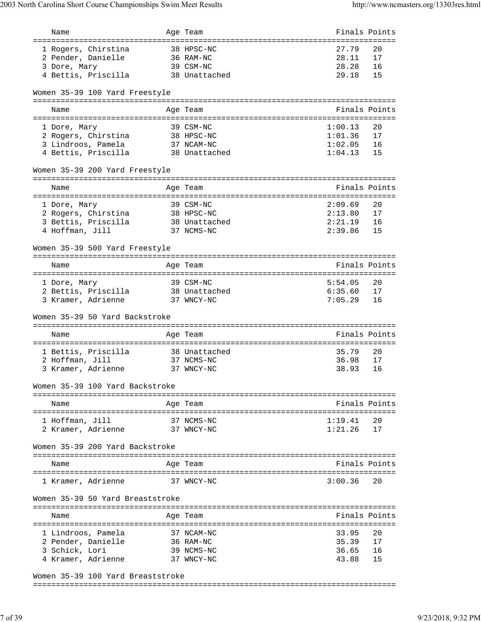| Name                                                             | Age Team                                              | Finals Points            |          |
|------------------------------------------------------------------|-------------------------------------------------------|--------------------------|----------|
| =========================                                        |                                                       | :======================= |          |
| 1 Rogers, Chirstina                                              | 38 HPSC-NC                                            | 27.79                    | 20       |
| 2 Pender, Danielle                                               | 36 RAM-NC                                             | 28.11                    | 17       |
| 3 Dore, Mary                                                     | 39 CSM-NC                                             | 28.28                    | 16       |
| 4 Bettis, Priscilla                                              | 38 Unattached                                         | 29.18                    | 15       |
| Women 35-39 100 Yard Freestyle                                   |                                                       |                          |          |
|                                                                  |                                                       |                          |          |
| Name                                                             | Age Team                                              | Finals Points            |          |
|                                                                  |                                                       |                          |          |
| 1 Dore, Mary                                                     | 39 CSM-NC<br>38 HPSC-NC                               | 1:00.13<br>1:01.36       | 20<br>17 |
| 2 Rogers, Chirstina<br>3 Lindroos, Pamela                        |                                                       | 1:02.05                  | 16       |
| 4 Bettis, Priscilla                                              | 37 NCAM-NC<br>38 Unattached                           | 1:04.13                  | 15       |
|                                                                  |                                                       |                          |          |
| Women 35-39 200 Yard Freestyle                                   |                                                       |                          |          |
|                                                                  | -----------------------------------                   | Finals Points            |          |
| Name                                                             | Age Team                                              |                          |          |
| 1 Dore, Mary                                                     | 39 CSM-NC                                             | 2:09.69                  | 20       |
| 2 Rogers, Chirstina                                              | 38 HPSC-NC                                            | 2:13.80                  | 17       |
| 3 Bettis, Priscilla                                              | 38 Unattached                                         | 2:21.19                  | 16       |
| 4 Hoffman, Jill                                                  | 37 NCMS-NC                                            | 2:39.86                  | 15       |
|                                                                  |                                                       |                          |          |
| Women 35-39 500 Yard Freestyle<br>============================== | ==============<br>----------------------------------- |                          |          |
| Name                                                             | Age Team                                              | Finals Points            |          |
|                                                                  | ----------------------------------                    |                          |          |
| 1 Dore, Mary                                                     | 39 CSM-NC                                             | 5:54.05                  | 20       |
| 2 Bettis, Priscilla                                              | 38 Unattached                                         | 6:35.60                  | 17       |
| 3 Kramer, Adrienne                                               | 37 WNCY-NC                                            | 7:05.29                  | 16       |
|                                                                  |                                                       |                          |          |
| Women 35-39 50 Yard Backstroke                                   |                                                       |                          |          |
|                                                                  |                                                       |                          |          |
| Name                                                             | Age Team                                              | Finals Points            |          |
|                                                                  |                                                       |                          |          |
| 1 Bettis, Priscilla                                              | 38 Unattached                                         | 35.79                    | 20       |
| 2 Hoffman, Jill                                                  | 37 NCMS-NC                                            | 36.98                    | 17       |
| 3 Kramer, Adrienne                                               | 37 WNCY-NC                                            | 38.93                    | 16       |
| Women 35-39 100 Yard Backstroke                                  |                                                       |                          |          |
|                                                                  |                                                       |                          |          |
| Name                                                             | Age Team                                              | Finals Points            |          |
|                                                                  |                                                       |                          |          |
| 1 Hoffman, Jill                                                  | 37 NCMS-NC                                            | 1:19.41                  | 20       |
| 2 Kramer, Adrienne                                               | 37 WNCY-NC                                            | 1:21.26                  | 17       |
| Women 35-39 200 Yard Backstroke                                  |                                                       |                          |          |
|                                                                  |                                                       |                          |          |
| Name                                                             | Age Team                                              | Finals Points            |          |
| 1 Kramer, Adrienne                                               | 37 WNCY-NC                                            | 3:00.36                  | 20       |
|                                                                  |                                                       |                          |          |
| Women 35-39 50 Yard Breaststroke                                 |                                                       |                          |          |
| Name                                                             | Age Team                                              | Finals Points            |          |
|                                                                  |                                                       |                          |          |
| 1 Lindroos, Pamela                                               | 37 NCAM-NC                                            | 33.95                    | 20       |
| 2 Pender, Danielle                                               | 36 RAM-NC                                             | 35.39                    | 17       |
| 3 Schick, Lori                                                   | 39 NCMS-NC                                            | 36.65                    | 16       |
| 4 Kramer, Adrienne                                               | 37 WNCY-NC                                            | 43.88                    | 15       |
|                                                                  |                                                       |                          |          |
|                                                                  |                                                       |                          |          |

Women 35-39 100 Yard Breaststroke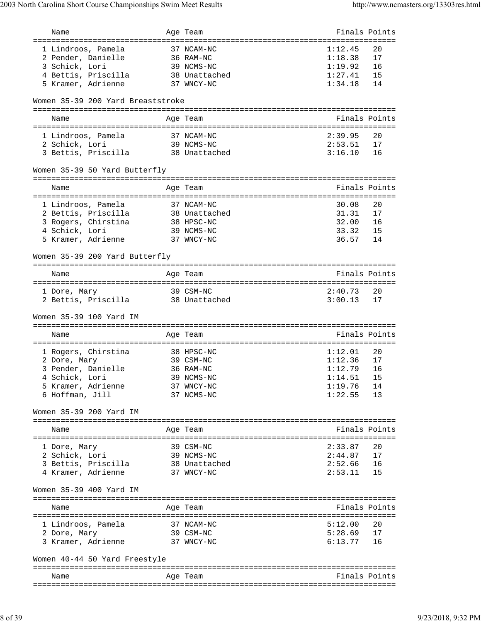| Name                                  | Age Team                           | Finals Points          |               |
|---------------------------------------|------------------------------------|------------------------|---------------|
| :=======================              |                                    | ================       |               |
| 1 Lindroos, Pamela                    | 37 NCAM-NC                         | 1:12.45                | 20            |
| 2 Pender, Danielle                    | 36 RAM-NC                          | 1:18.38                | 17<br>16      |
| 3 Schick, Lori<br>4 Bettis, Priscilla | 39 NCMS-NC<br>38 Unattached        | $1:19.92$<br>$1:27.41$ | 15            |
| 5 Kramer, Adrienne                    | 37 WNCY-NC                         | 1:34.18                | 14            |
|                                       |                                    |                        |               |
| Women 35-39 200 Yard Breaststroke     |                                    |                        |               |
| Name                                  | Age Team                           |                        | Finals Points |
| 1 Lindroos, Pamela                    | 37 NCAM-NC                         | 2:39.95                | 20            |
| 2 Schick, Lori                        | 39 NCMS-NC                         | 2:53.51                | 17            |
| 3 Bettis, Priscilla                   | 38 Unattached                      | 3:16.10                | 16            |
| Women 35-39 50 Yard Butterfly         |                                    |                        |               |
| Name                                  | Age Team                           |                        | Finals Points |
|                                       |                                    |                        |               |
| 1 Lindroos, Pamela                    | 37 NCAM-NC                         | 30.08                  | 20            |
| 2 Bettis, Priscilla                   | 38 Unattached                      | 31.31                  | 17            |
| 3 Rogers, Chirstina                   | 38 HPSC-NC                         | 32.00                  | 16            |
| 4 Schick, Lori                        | 39 NCMS-NC                         | 33.32                  | 15            |
| 5 Kramer, Adrienne                    | 37 WNCY-NC                         | 36.57                  | 14            |
| Women 35-39 200 Yard Butterfly        |                                    |                        |               |
|                                       | ================================== |                        |               |
| Name                                  | Age Team                           |                        | Finals Points |
|                                       |                                    |                        |               |
| 1 Dore, Mary                          | 39 CSM-NC                          | 2:40.73                | 20            |
| 2 Bettis, Priscilla                   | 38 Unattached                      | 3:00.13                | 17            |
| Women 35-39 100 Yard IM               |                                    |                        |               |
| Name                                  | Age Team                           |                        | Finals Points |
|                                       |                                    |                        |               |
| 1 Rogers, Chirstina                   | 38 HPSC-NC                         | 1:12.01                | 20            |
| 2 Dore, Mary                          | 39 CSM-NC                          | 1:12.36                | 17            |
| 3 Pender, Danielle                    | 36 RAM-NC                          | 1:12.79                | 16            |
| 4 Schick, Lori                        | 39 NCMS-NC                         | 1:14.51                | 15<br>14      |
| 5 Kramer, Adrienne<br>6 Hoffman, Jill | 37 WNCY-NC<br>37 NCMS-NC           | 1:19.76<br>1:22.55     | 13            |
|                                       |                                    |                        |               |
| Women 35-39 200 Yard IM               |                                    |                        |               |
| Name                                  | Age Team                           |                        | Finals Points |
|                                       |                                    |                        |               |
| 1 Dore, Mary                          | 39 CSM-NC                          | 2:33.87                | 20            |
| 2 Schick, Lori                        | 39 NCMS-NC                         | 2:44.87                | 17            |
| 3 Bettis, Priscilla                   | 38 Unattached                      | 2:52.66                | 16            |
| 4 Kramer, Adrienne                    | 37 WNCY-NC                         | 2:53.11                | 15            |
| Women 35-39 400 Yard IM               |                                    |                        |               |
| Name                                  | Age Team                           |                        | Finals Points |
|                                       |                                    |                        |               |
| 1 Lindroos, Pamela                    | 37 NCAM-NC                         | 5:12.00                | 20            |
| 2 Dore, Mary                          | 39 CSM-NC                          | 5:28.69<br>6:13.77     | 17            |
| 3 Kramer, Adrienne                    | 37 WNCY-NC                         |                        | 16            |
| Women 40-44 50 Yard Freestyle         |                                    |                        |               |
| Name                                  | Age Team                           |                        | Finals Points |
|                                       |                                    |                        |               |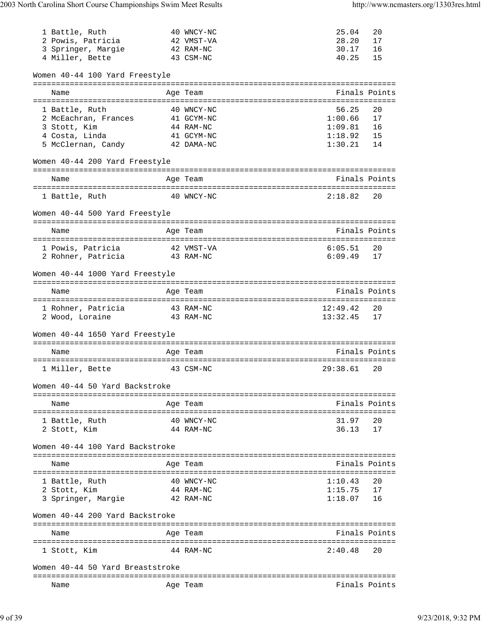| 1 Battle, Ruth                               | 40 WNCY-NC                          | 25.04                  | 20            |
|----------------------------------------------|-------------------------------------|------------------------|---------------|
| 2 Powis, Patricia                            | 42 VMST-VA                          | 28.20                  | 17            |
| 3 Springer, Margie                           | 42 RAM-NC                           | 30.17                  | 16            |
| 4 Miller, Bette                              | 43 CSM-NC                           | 40.25                  | 15            |
| Women 40-44 100 Yard Freestyle               |                                     |                        |               |
| Name<br>==================================== | Age Team<br>======================= |                        | Finals Points |
| 1 Battle, Ruth                               | 40 WNCY-NC                          | 56.25                  | 20            |
| 2 McEachran, Frances                         | 41 GCYM-NC                          | 1:00.66                | 17            |
| 3 Stott, Kim                                 | 44 RAM-NC                           |                        | 16            |
| 4 Costa, Linda                               | 41 GCYM-NC                          | $1:09.81$<br>$1:18.92$ | 15            |
| 5 McClernan, Candy                           | 42 DAMA-NC                          | 1:30.21                | 14            |
| Women 40-44 200 Yard Freestyle               |                                     |                        |               |
| Name                                         | Age Team                            | Finals Points          |               |
| 1 Battle, Ruth                               | 40 WNCY-NC                          | 2:18.82                | 20            |
|                                              |                                     |                        |               |
| Women 40-44 500 Yard Freestyle               | =================================   |                        |               |
| Name                                         | Age Team                            |                        | Finals Points |
| 1 Powis, Patricia                            | 42 VMST-VA                          | 6:05.51                | 20            |
| 2 Rohner, Patricia                           | 43 RAM-NC                           | 6:09.49                | 17            |
| Women 40-44 1000 Yard Freestyle              |                                     |                        |               |
|                                              |                                     |                        |               |
| Name                                         | Age Team                            |                        | Finals Points |
| 1 Rohner, Patricia                           | 43 RAM-NC                           | 12:49.42               | 20            |
| 2 Wood, Loraine                              | 43 RAM-NC                           | 13:32.45               | 17            |
| Women 40-44 1650 Yard Freestyle              |                                     |                        |               |
|                                              |                                     |                        |               |
| Name                                         | Age Team                            |                        | Finals Points |
| 1 Miller, Bette                              | 43 CSM-NC                           | 29:38.61               | 20            |
| Women 40-44 50 Yard Backstroke               |                                     |                        |               |
| Name                                         | Age Team                            |                        | Finals Points |
|                                              |                                     |                        |               |
| 1 Battle, Ruth                               | 40 WNCY-NC                          | 31.97                  | 20            |
| 2 Stott, Kim                                 | 44 RAM-NC                           | 36.13                  | 17            |
| Women 40-44 100 Yard Backstroke              | ==============================      |                        |               |
| Name                                         | Age Team                            | Finals Points          |               |
|                                              |                                     |                        |               |
| 1 Battle, Ruth                               | 40 WNCY-NC                          | 1:10.43                | 20            |
| 2 Stott, Kim                                 | 44 RAM-NC                           | 1:15.75                | 17            |
| 3 Springer, Margie                           | 42 RAM-NC                           | 1:18.07                | 16            |
| Women 40-44 200 Yard Backstroke              |                                     |                        |               |
| Name                                         | Age Team                            | Finals Points          |               |
|                                              |                                     |                        |               |
| 1 Stott, Kim                                 | 44 RAM-NC                           | 2:40.48                | 20            |
| Women 40-44 50 Yard Breaststroke             |                                     |                        |               |
| Name                                         | Age Team                            |                        | Finals Points |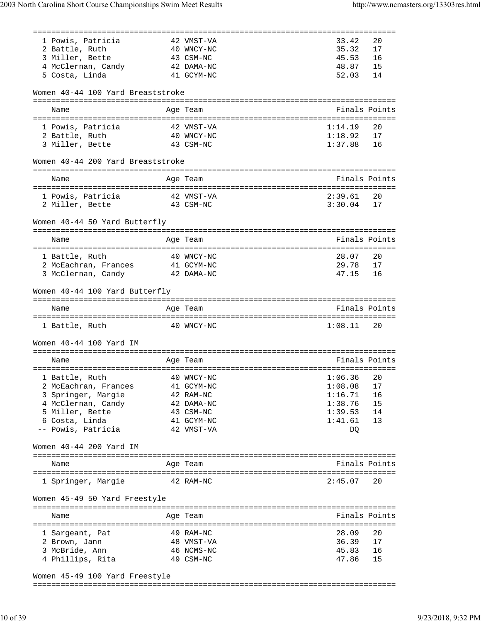|      |                                    | ================================ |                |               |
|------|------------------------------------|----------------------------------|----------------|---------------|
|      | 1 Powis, Patricia                  | 42 VMST-VA                       | 33.42          | 20            |
|      | 2 Battle, Ruth                     | 40 WNCY-NC                       | 35.32          | 17            |
|      | 3 Miller, Bette                    | 43 CSM-NC                        | 45.53          | 16            |
|      | 4 McClernan, Candy 42 DAMA-NC      |                                  | 48.87          | 15            |
|      | 5 Costa, Linda                     | 41 GCYM-NC                       | 52.03          | 14            |
|      | Women 40-44 100 Yard Breaststroke  |                                  |                |               |
| Name |                                    | Age Team                         |                | Finals Points |
|      |                                    |                                  |                |               |
|      | 1 Powis, Patricia                  | 42 VMST-VA                       | 1:14.19        | 20            |
|      | 2 Battle, Ruth                     | 40 WNCY-NC                       | 1:18.92        | 17            |
|      | 3 Miller, Bette                    | 43 CSM-NC                        | 1:37.88        | 16            |
|      |                                    |                                  |                |               |
|      | Women 40-44 200 Yard Breaststroke  |                                  |                |               |
| Name |                                    | Age Team                         |                | Finals Points |
|      |                                    |                                  |                |               |
|      | 1 Powis, Patricia                  | 42 VMST-VA                       | 2:39.61        | 20            |
|      | 2 Miller, Bette                    | 43 CSM-NC                        | 3:30.04        | 17            |
|      | Women 40-44 50 Yard Butterfly      |                                  |                |               |
|      |                                    |                                  |                |               |
| Name |                                    | Age Team                         |                | Finals Points |
|      | 1 Battle, Ruth                     | 40 WNCY-NC                       | 28.07          | 20            |
|      | 2 McEachran, Frances 41 GCYM-NC    |                                  | 29.78          | 17            |
|      | 3 McClernan, Candy                 | 42 DAMA-NC                       | 47.15          | 16            |
|      |                                    |                                  |                |               |
|      | Women 40-44 100 Yard Butterfly     |                                  |                |               |
|      |                                    |                                  |                |               |
| Name |                                    | Age Team                         |                | Finals Points |
|      |                                    |                                  |                |               |
|      | 1 Battle, Ruth                     | 40 WNCY-NC                       | 1:08.11        | 20            |
|      | Women 40-44 100 Yard IM            |                                  |                |               |
|      |                                    |                                  |                |               |
| Name |                                    | Age Team                         |                | Finals Points |
|      |                                    |                                  |                |               |
|      | 1 Battle, Ruth 40 WNCY-NC          | $1:06.36$ 20                     |                |               |
|      | 2 McEachran, Frances               | 41 GCYM-NC                       | 1:08.08        | 17            |
|      | 3 Springer, Margie                 | 42 RAM-NC                        | 1:16.71        | 16            |
|      | 4 McClernan, Candy                 | 42 DAMA-NC                       | 1:38.76        | 15            |
|      | 5 Miller, Bette                    | 43 CSM-NC                        | 1:39.53        | 14            |
|      | 6 Costa, Linda                     | 41 GCYM-NC                       | 1:41.61        | 13            |
|      | -- Powis, Patricia                 | 42 VMST-VA                       | DQ             |               |
|      | Women 40-44 200 Yard IM            |                                  |                |               |
|      |                                    |                                  |                |               |
| Name |                                    | Age Team                         |                | Finals Points |
|      | 1 Springer, Margie                 | 42 RAM-NC                        | 2:45.07        | 20            |
|      | Women 45-49 50 Yard Freestyle      |                                  |                |               |
| Name |                                    | Age Team                         |                | Finals Points |
|      |                                    |                                  |                |               |
|      | 1 Sargeant, Pat                    | 49 RAM-NC                        | 28.09          | 20            |
|      | 2 Brown, Jann                      | 48 VMST-VA                       | 36.39          | 17            |
|      | 3 McBride, Ann<br>4 Phillips, Rita | 46 NCMS-NC<br>49 CSM-NC          | 45.83<br>47.86 | 16<br>15      |

Women 45-49 100 Yard Freestyle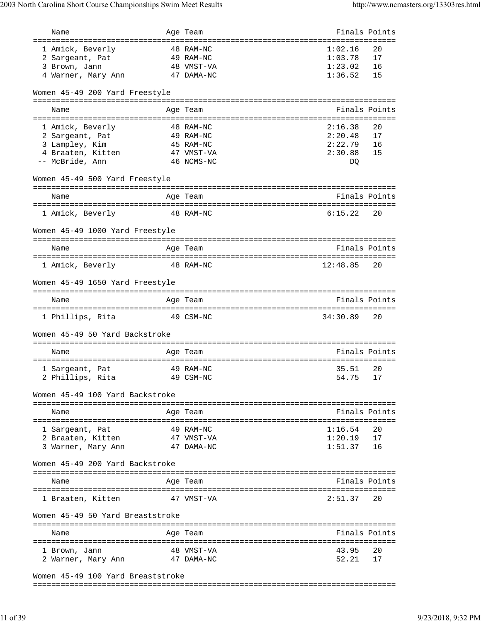| Name                                   | Age Team   | Finals Points |               |
|----------------------------------------|------------|---------------|---------------|
| ====================================== |            |               |               |
| 1 Amick, Beverly                       | 48 RAM-NC  | 1:02.16       | 20            |
| 2 Sargeant, Pat                        | 49 RAM-NC  | 1:03.78       | 17            |
| 3 Brown, Jann                          | 48 VMST-VA | 1:23.02       | 16            |
| 4 Warner, Mary Ann                     | 47 DAMA-NC | 1:36.52       | 15            |
| Women 45-49 200 Yard Freestyle         |            |               |               |
|                                        |            |               |               |
| Name                                   | Age Team   |               | Finals Points |
| 1 Amick, Beverly                       | 48 RAM-NC  | 2:16.38       | 20            |
| 2 Sargeant, Pat                        | 49 RAM-NC  | 2:20.48       | 17            |
| 3 Lampley, Kim                         | 45 RAM-NC  | 2:22.79       | 16            |
| 4 Braaten, Kitten                      | 47 VMST-VA | 2:30.88       | 15            |
| -- McBride, Ann                        | 46 NCMS-NC | DQ            |               |
|                                        |            |               |               |
| Women 45-49 500 Yard Freestyle         |            |               |               |
| Name                                   | Age Team   |               | Finals Points |
| 1 Amick, Beverly                       | 48 RAM-NC  | 6:15.22       | 20            |
| Women 45-49 1000 Yard Freestyle        |            |               |               |
| Name                                   | Age Team   | Finals Points |               |
| 1 Amick, Beverly                       | 48 RAM-NC  | 12:48.85      | 20            |
|                                        |            |               |               |
| Women 45-49 1650 Yard Freestyle        |            |               |               |
| Name                                   | Age Team   |               | Finals Points |
|                                        |            |               |               |
| 1 Phillips, Rita                       | 49 CSM-NC  | 34:30.89      | 20            |
| Women 45-49 50 Yard Backstroke         |            |               |               |
|                                        |            |               |               |
| Name                                   | Age Team   | Finals Points |               |
|                                        |            |               |               |
| 1 Sargeant, Pat                        | 49 RAM-NC  | 35.51         | 20            |
| 2 Phillips, Rita                       | 49 CSM-NC  | 54.75         | 17            |
|                                        |            |               |               |
| Women 45-49 100 Yard Backstroke        |            |               |               |
|                                        |            |               |               |
| Name                                   | Age Team   | Finals Points | ======        |
| l Sargeant, Pat                        | 49 RAM-NC  | 1:16.54       | 20            |
| 2 Braaten, Kitten                      | 47 VMST-VA | 1:20.19       | 17            |
| 3 Warner, Mary Ann                     | 47 DAMA-NC | 1:51.37       | 16            |
|                                        |            |               |               |
| Women 45-49 200 Yard Backstroke        |            |               |               |
| Name                                   | Age Team   |               | Finals Points |
|                                        |            |               |               |
| 1 Braaten, Kitten                      | 47 VMST-VA | 2:51.37       | 20            |
|                                        |            |               |               |
| Women 45-49 50 Yard Breaststroke       |            |               |               |
|                                        |            |               |               |
| Name                                   | Age Team   |               | Finals Points |
|                                        |            |               |               |
| 1 Brown, Jann                          | 48 VMST-VA | 43.95         | 20            |
| 2 Warner, Mary Ann                     | 47 DAMA-NC | 52.21         | 17            |
| Women 45-49 100 Yard Breaststroke      |            |               |               |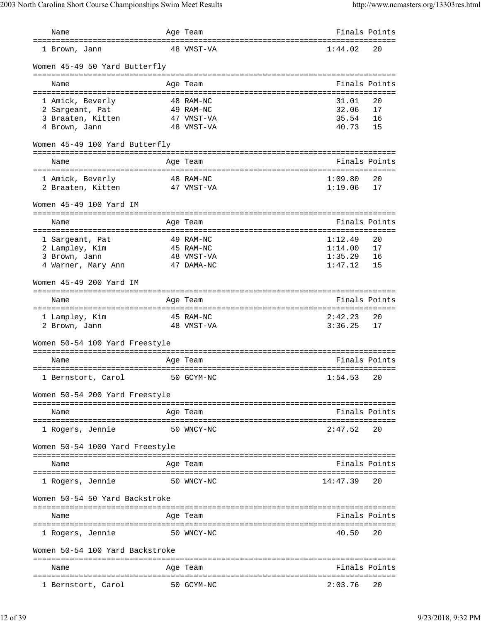| Name                                                 | Age Team                                   |          | Finals Points |
|------------------------------------------------------|--------------------------------------------|----------|---------------|
| ===================================<br>1 Brown, Jann | ============================<br>48 VMST-VA | 1:44.02  | 20            |
| Women 45-49 50 Yard Butterfly                        |                                            |          |               |
| Name                                                 | Age Team                                   |          | Finals Points |
|                                                      |                                            |          |               |
| 1 Amick, Beverly                                     | 48 RAM-NC                                  | 31.01    | 20            |
| 2 Sargeant, Pat                                      | 49 RAM-NC                                  | 32.06    | 17            |
| 3 Braaten, Kitten                                    | 47 VMST-VA                                 | 35.54    | 16            |
| 4 Brown, Jann                                        | 48 VMST-VA                                 | 40.73    | 15            |
| Women 45-49 100 Yard Butterfly                       |                                            |          |               |
| Name                                                 | Age Team                                   |          | Finals Points |
|                                                      |                                            |          |               |
| 1 Amick, Beverly                                     | 48 RAM-NC                                  | 1:09.80  | 20            |
| 2 Braaten, Kitten                                    | 47 VMST-VA                                 | 1:19.06  | 17            |
| Women 45-49 100 Yard IM                              |                                            |          |               |
| Name                                                 | Age Team                                   |          | Finals Points |
| 1 Sargeant, Pat                                      | 49 RAM-NC                                  | 1:12.49  | 20            |
|                                                      |                                            | 1:14.00  | 17            |
| 2 Lampley, Kim                                       | 45 RAM-NC<br>48 VMST-VA                    | 1:35.29  | 16            |
| 3 Brown, Jann                                        | 47 DAMA-NC                                 | 1:47.12  | 15            |
| 4 Warner, Mary Ann                                   |                                            |          |               |
| Women 45-49 200 Yard IM                              | =====================================      |          |               |
| Name                                                 | Age Team                                   |          | Finals Points |
|                                                      |                                            |          |               |
| 1 Lampley, Kim                                       | 45 RAM-NC                                  | 2:42.23  | 20            |
| 2 Brown, Jann                                        | 48 VMST-VA                                 | 3:36.25  | 17            |
| Women 50-54 100 Yard Freestyle                       |                                            |          |               |
| Name                                                 | Age Team                                   |          | Finals Points |
|                                                      |                                            |          |               |
| 1 Bernstort, Carol                                   | 1:54.53<br>50 GCYM-NC                      |          | 20            |
| Women 50-54 200 Yard Freestyle                       |                                            |          |               |
| Name                                                 | Age Team                                   |          | Finals Points |
|                                                      |                                            |          |               |
| 1 Rogers, Jennie                                     | 50 WNCY-NC                                 | 2:47.52  | 20            |
| Women 50-54 1000 Yard Freestyle                      |                                            |          |               |
| Name                                                 | Age Team                                   |          | Finals Points |
| 1 Rogers, Jennie                                     | 50 WNCY-NC                                 | 14:47.39 | 20            |
| Women 50-54 50 Yard Backstroke                       |                                            |          |               |
|                                                      |                                            |          |               |
| Name                                                 | Age Team                                   |          | Finals Points |
| 1 Rogers, Jennie                                     | 50 WNCY-NC                                 | 40.50    | 20            |
| Women 50-54 100 Yard Backstroke                      |                                            |          |               |
| Name                                                 | Age Team                                   |          | Finals Points |
| 1 Bernstort, Carol                                   | 50 GCYM-NC                                 | 2:03.76  | 20            |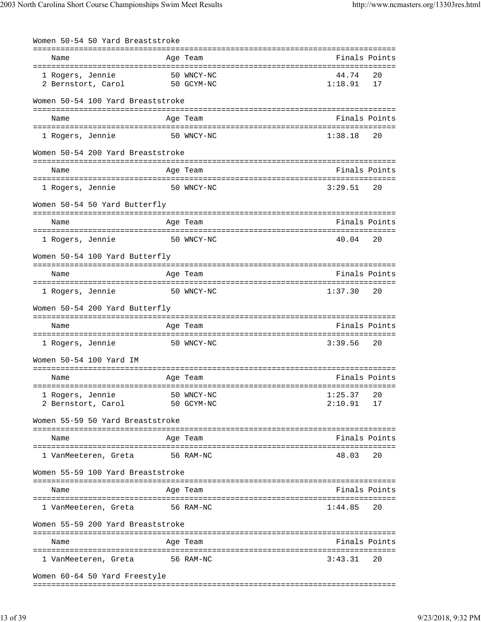| Women 50-54 50 Yard Breaststroke       |                          |                  |               |
|----------------------------------------|--------------------------|------------------|---------------|
| Name                                   | Age Team                 |                  | Finals Points |
| 1 Rogers, Jennie<br>2 Bernstort, Carol | 50 WNCY-NC<br>50 GCYM-NC | 44.74<br>1:18.91 | 20<br>17      |
| Women 50-54 100 Yard Breaststroke      |                          |                  |               |
| Name                                   | Age Team                 |                  | Finals Points |
| 1 Rogers, Jennie                       | 50 WNCY-NC               | 1:38.18          | 20            |
| Women 50-54 200 Yard Breaststroke      |                          |                  |               |
| Name                                   | Age Team                 | Finals Points    |               |
| 1 Rogers, Jennie                       | 50 WNCY-NC               | 3:29.51          | 20            |
| Women 50-54 50 Yard Butterfly          |                          |                  |               |
| Name                                   | Age Team                 |                  | Finals Points |
| 1 Rogers, Jennie                       | 50 WNCY-NC               | 40.04            | 20            |
| Women 50-54 100 Yard Butterfly         |                          |                  |               |
| Name                                   | Age Team                 |                  | Finals Points |
| 1 Rogers, Jennie                       | 50 WNCY-NC               | 1:37.30          | 20            |
| Women 50-54 200 Yard Butterfly         |                          |                  |               |
| Name                                   | Age Team                 | Finals Points    |               |
| 1 Rogers, Jennie                       | 50 WNCY-NC               | 3:39.56          | 20            |
| Women 50-54 100 Yard IM                |                          |                  |               |
| Name                                   | Age Team                 |                  | Finals Points |
| 1 Rogers, Jennie                       | 50 WNCY-NC               | 1:25.37          | 20            |
| 2 Bernstort, Carol                     | 50 GCYM-NC               | 2:10.91          | 17            |
| Women 55-59 50 Yard Breaststroke       |                          |                  |               |
| Name                                   | Age Team                 |                  | Finals Points |
| l VanMeeteren, Greta                   | 56 RAM-NC                | 48.03            | 20            |
| Women 55-59 100 Yard Breaststroke      |                          |                  |               |
| Name                                   | Age Team                 |                  | Finals Points |
|                                        |                          |                  |               |
| 1 VanMeeteren, Greta                   | 56 RAM-NC                | 1:44.85          | 20            |
| Women 55-59 200 Yard Breaststroke      |                          |                  |               |
| Name                                   | Age Team                 |                  | Finals Points |
| 1 VanMeeteren, Greta                   | 56 RAM-NC                | 3:43.31          | 20            |
| Women 60-64 50 Yard Freestyle          |                          |                  |               |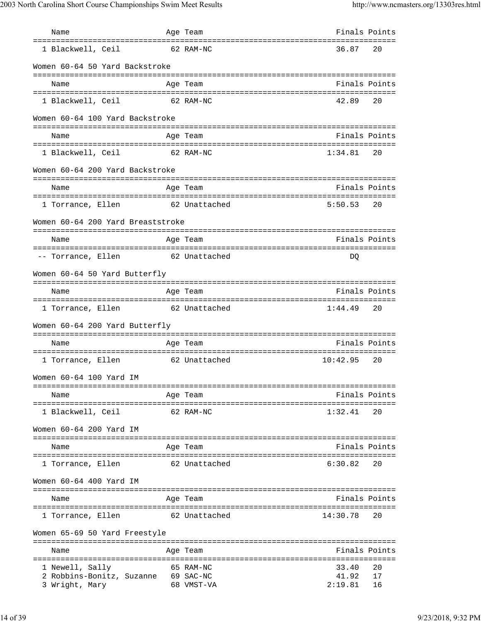| Name                                | Age Team      | Finals Points |    |
|-------------------------------------|---------------|---------------|----|
| 1 Blackwell, Ceil                   | 62 RAM-NC     | 36.87         | 20 |
| Women 60-64 50 Yard Backstroke      |               |               |    |
| Name                                | Age Team      | Finals Points |    |
| 1 Blackwell, Ceil<br>62 RAM-NC      |               | 42.89         | 20 |
| Women 60-64 100 Yard Backstroke     |               |               |    |
| Name                                | Age Team      | Finals Points |    |
| 1 Blackwell, Ceil<br>62 RAM-NC      |               | 1:34.81       | 20 |
| Women 60-64 200 Yard Backstroke     |               |               |    |
| Name                                | Age Team      | Finals Points |    |
| 1 Torrance, Ellen                   | 62 Unattached | 5:50.53       | 20 |
| Women 60-64 200 Yard Breaststroke   |               |               |    |
| Name                                | Age Team      | Finals Points |    |
| -- Torrance, Ellen 62 Unattached    |               | DO            |    |
| Women 60-64 50 Yard Butterfly       |               |               |    |
| Name                                | Age Team      | Finals Points |    |
| 1 Torrance, Ellen                   | 62 Unattached | 1:44.49       | 20 |
| Women 60-64 200 Yard Butterfly      |               |               |    |
| Name                                | Age Team      | Finals Points |    |
| 1 Torrance, Ellen                   | 62 Unattached | 10:42.95      | 20 |
| Women 60-64 100 Yard IM             |               |               |    |
| Name                                | Age Team      | Finals Points |    |
| 1 Blackwell, Ceil                   | 62 RAM-NC     | 1:32.41       | 20 |
| Women 60-64 200 Yard IM             |               |               |    |
| Name                                | Age Team      | Finals Points |    |
| 1 Torrance, Ellen                   | 62 Unattached | 6:30.82       | 20 |
| Women 60-64 400 Yard IM             |               |               |    |
| Name                                | Age Team      | Finals Points |    |
| 1 Torrance, Ellen                   | 62 Unattached | 14:30.78      | 20 |
| Women 65-69 50 Yard Freestyle       |               |               |    |
| Name                                | Age Team      | Finals Points |    |
| 1 Newell, Sally                     | 65 RAM-NC     | 33.40         | 20 |
| 2 Robbins-Bonitz, Suzanne 69 SAC-NC |               | 41.92         | 17 |
| 3 Wright, Mary                      | 68 VMST-VA    | 2:19.81       | 16 |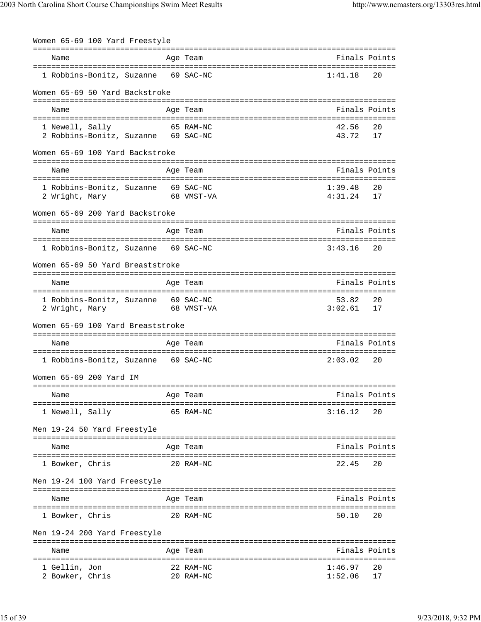| Women 65-69 100 Yard Freestyle                                   |                                              |                    |               |
|------------------------------------------------------------------|----------------------------------------------|--------------------|---------------|
| Name                                                             | Age Team                                     | Finals Points      |               |
| 1 Robbins-Bonitz, Suzanne 69 SAC-NC                              |                                              | 1:41.18            | 20            |
| Women 65-69 50 Yard Backstroke                                   |                                              |                    |               |
|                                                                  |                                              |                    |               |
| Name                                                             | Age Team                                     | Finals Points      |               |
| 1 Newell, Sally                                                  | 65 RAM-NC                                    | 42.56              | 20            |
| 2 Robbins-Bonitz, Suzanne 69 SAC-NC                              |                                              | 43.72              | 17            |
| Women 65-69 100 Yard Backstroke                                  |                                              |                    |               |
| Name                                                             | Age Team                                     | Finals Points      |               |
|                                                                  |                                              |                    |               |
| 1 Robbins-Bonitz, Suzanne 69 SAC-NC<br>2 Wright, Mary 68 VMST-VA |                                              | 1:39.48<br>4:31.24 | 20<br>17      |
|                                                                  |                                              |                    |               |
| Women 65-69 200 Yard Backstroke                                  |                                              |                    |               |
| Name                                                             | Age Team                                     | Finals Points      |               |
| 1 Robbins-Bonitz, Suzanne 69 SAC-NC                              |                                              | 3:43.16            | 20            |
|                                                                  |                                              |                    |               |
| Women 65-69 50 Yard Breaststroke                                 |                                              |                    |               |
| Name                                                             | Age Team                                     | Finals Points      |               |
| 1 Robbins-Bonitz, Suzanne 69 SAC-NC                              |                                              | 53.82              | 20            |
| 68 VMST-VA<br>2 Wright, Mary                                     |                                              | 3:02.61            | 17            |
| Women 65-69 100 Yard Breaststroke                                |                                              |                    |               |
|                                                                  |                                              |                    |               |
| Name                                                             | Age Team                                     | Finals Points      |               |
| 1 Robbins-Bonitz, Suzanne 69 SAC-NC                              |                                              | 2:03.02            | 20            |
| Women 65-69 200 Yard IM                                          |                                              |                    |               |
| Name                                                             | Age Team                                     | Finals Points      |               |
| ======================================                           | ==================================           |                    |               |
| 1 Newell, Sally                                                  | 65 RAM-NC                                    | 3:16.12            | 20            |
| Men 19-24 50 Yard Freestyle                                      |                                              |                    |               |
| Name                                                             | Age Team                                     |                    | Finals Points |
| 1 Bowker, Chris                                                  | 20 RAM-NC                                    | 22.45              | 20            |
| Men 19-24 100 Yard Freestyle                                     |                                              |                    |               |
|                                                                  |                                              |                    |               |
| Name                                                             | Age Team                                     | Finals Points      |               |
| 1 Bowker, Chris                                                  | 20 RAM-NC                                    | 50.10              | 20            |
| Men 19-24 200 Yard Freestyle                                     |                                              |                    |               |
| Name                                                             | ================================<br>Age Team | Finals Points      |               |
|                                                                  |                                              |                    |               |
| 1 Gellin, Jon                                                    | 22 RAM-NC                                    | 1:46.97            | 20            |
| 2 Bowker, Chris                                                  | 20 RAM-NC                                    | 1:52.06            | 17            |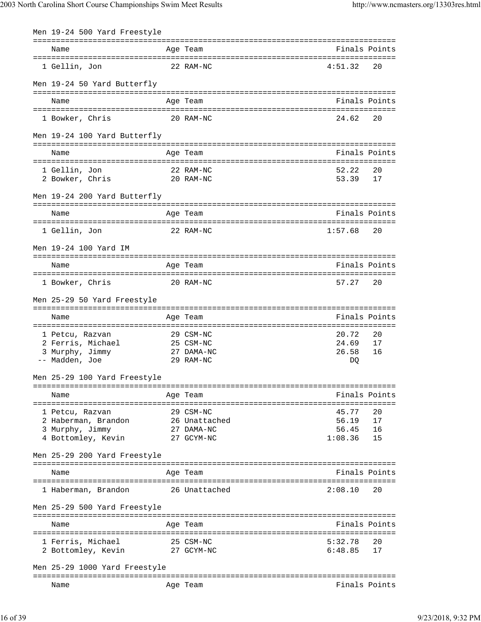| Men 19-24 500 Yard Freestyle            |                                                                  |                    |               |
|-----------------------------------------|------------------------------------------------------------------|--------------------|---------------|
| Name                                    | Age Team                                                         |                    | Finals Points |
| 1 Gellin, Jon                           | 22 RAM-NC                                                        | 4:51.32            | 20            |
| Men 19-24 50 Yard Butterfly             |                                                                  |                    |               |
| Name                                    | Age Team                                                         | Finals Points      |               |
| 1 Bowker, Chris                         | 20 RAM-NC                                                        | 24.62              | 20            |
| Men 19-24 100 Yard Butterfly            |                                                                  |                    |               |
| Name                                    | Age Team                                                         | Finals Points      |               |
| 1 Gellin, Jon                           | 22 RAM-NC                                                        | 52.22              | 20            |
| 2 Bowker, Chris                         | 20 RAM-NC                                                        | 53.39              | 17            |
| Men 19-24 200 Yard Butterfly            |                                                                  |                    |               |
| Name                                    | Age Team                                                         | Finals Points      |               |
| 1 Gellin, Jon                           | 22 RAM-NC                                                        | 1:57.68            | 20            |
| Men 19-24 100 Yard IM                   |                                                                  |                    |               |
| Name                                    | Age Team                                                         | Finals Points      |               |
| 1 Bowker, Chris                         | 20 RAM-NC                                                        | 57.27              | 20            |
| Men 25-29 50 Yard Freestyle             |                                                                  |                    |               |
| Name                                    | Age Team                                                         | Finals Points      |               |
| 1 Petcu, Razvan                         | ================================<br>29 CSM-NC                    | 20.72              | 20            |
| 2 Ferris, Michael                       | 25 CSM-NC                                                        | 24.69              | 17            |
| 3 Murphy, Jimmy                         | 27 DAMA-NC                                                       | 26.58              | 16            |
| -- Madden, Joe                          | 29 RAM-NC                                                        | DQ                 |               |
| Men 25-29 100 Yard Freestyle            |                                                                  |                    |               |
| Name                                    | Age Team                                                         |                    | Finals Points |
| 1 Petcu, Razvan                         | 29 CSM-NC                                                        | 45.77              | 20            |
| 2 Haberman, Brandon                     | 26 Unattached                                                    | 56.19              | 17            |
| 3 Murphy, Jimmy                         | 27 DAMA-NC                                                       | $56.45$<br>1:08.36 | 16            |
| 4 Bottomley, Kevin                      | 27 GCYM-NC                                                       |                    | 15            |
| Men 25-29 200 Yard Freestyle            |                                                                  |                    |               |
| Name                                    | Age Team                                                         |                    | Finals Points |
| 1 Haberman, Brandon 26 Unattached       |                                                                  | 2:08.10            | 20            |
| Men 25-29 500 Yard Freestyle            |                                                                  |                    |               |
| Name                                    | Age Team                                                         | Finals Points      |               |
|                                         |                                                                  |                    |               |
| 1 Ferris, Michael<br>2 Bottomley, Kevin | 25 CSM-NC<br>27 GCYM-NC                                          | 5:32.78<br>6:48.85 | 20<br>17      |
| Men 25-29 1000 Yard Freestyle           |                                                                  |                    |               |
| Name                                    | ==========<br>======================================<br>Age Team |                    | Finals Points |
|                                         |                                                                  |                    |               |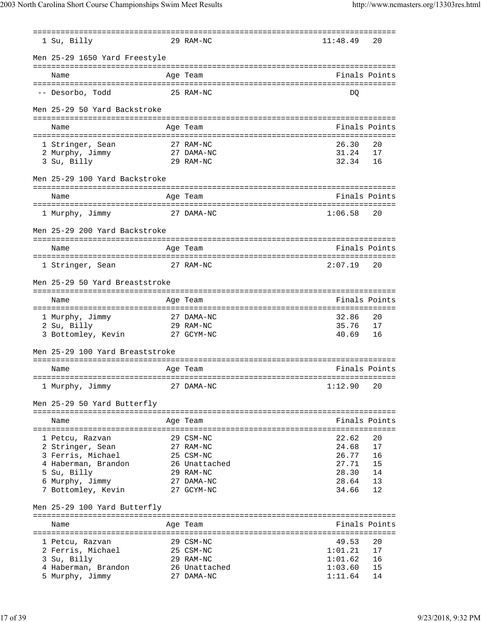|                                 | ==================================          |          |               |
|---------------------------------|---------------------------------------------|----------|---------------|
| 1 Su, Billy                     | 29 RAM-NC                                   | 11:48.49 | 20            |
| Men 25-29 1650 Yard Freestyle   |                                             |          |               |
| Name                            | Age Team                                    |          | Finals Points |
| -- Desorbo, Todd                | 25 RAM-NC                                   | DO       |               |
| Men 25-29 50 Yard Backstroke    |                                             |          |               |
|                                 |                                             |          |               |
| Name                            | Age Team                                    |          | Finals Points |
| 1 Stringer, Sean                | 27 RAM-NC                                   | 26.30    | 20            |
| 2 Murphy, Jimmy                 | 27 DAMA-NC                                  | 31.24    | 17            |
| 3 Su, Billy                     | 29 RAM-NC                                   | 32.34    | 16            |
| Men 25-29 100 Yard Backstroke   |                                             |          |               |
|                                 |                                             |          |               |
| Name                            | Age Team                                    |          | Finals Points |
| 1 Murphy, Jimmy                 | 27 DAMA-NC                                  | 1:06.58  | 20            |
| Men 25-29 200 Yard Backstroke   |                                             |          |               |
| Name                            | Age Team                                    |          | Finals Points |
|                                 |                                             |          |               |
| 1 Stringer, Sean                | 27 RAM-NC                                   | 2:07.19  | 20            |
| Men 25-29 50 Yard Breaststroke  |                                             |          |               |
| Name                            | Age Team                                    |          | Finals Points |
| 1 Murphy, Jimmy                 | 27 DAMA-NC                                  | 32.86    | 20            |
| 2 Su, Billy                     | 29 RAM-NC                                   | 35.76    | 17            |
| 3 Bottomley, Kevin              | 27 GCYM-NC                                  | 40.69    | 16            |
|                                 |                                             |          |               |
| Men 25-29 100 Yard Breaststroke |                                             |          |               |
| Name                            | Age Team                                    |          | Finals Points |
| 1 Murphy, Jimmy                 | 27 DAMA-NC                                  | 1:12.90  | 20            |
| Men 25-29 50 Yard Butterfly     |                                             |          |               |
| -------------------------       | ===========<br>---------------------------- |          |               |
| Name                            | Age Team                                    |          | Finals Points |
|                                 |                                             |          |               |
| 1 Petcu, Razvan                 | 29 CSM-NC                                   | 22.62    | 20            |
| 2 Stringer, Sean                | 27 RAM-NC                                   | 24.68    | 17            |
| 3 Ferris, Michael               | 25 CSM-NC                                   | 26.77    | 16            |
| 4 Haberman, Brandon             | 26 Unattached                               | 27.71    | 15            |
| 5 Su, Billy                     | 29 RAM-NC                                   | 28.30    | 14            |
| 6 Murphy, Jimmy                 | 27 DAMA-NC                                  | 28.64    | 13            |
| 7 Bottomley, Kevin              | 27 GCYM-NC                                  | 34.66    | 12            |
| Men 25-29 100 Yard Butterfly    |                                             |          |               |
| ===========================     | ==========                                  |          | Finals Points |
| Name                            | Age Team                                    |          |               |
| 1 Petcu, Razvan                 | 29 CSM-NC                                   | 49.53    | 20            |
| 2 Ferris, Michael               | 25 CSM-NC                                   | 1:01.21  | 17            |
| 3 Su, Billy                     | 29 RAM-NC                                   | 1:01.62  | 16            |
| 4 Haberman, Brandon             | 26 Unattached                               | 1:03.60  | 15            |
| 5 Murphy, Jimmy                 | 27 DAMA-NC                                  | 1:11.64  | 14            |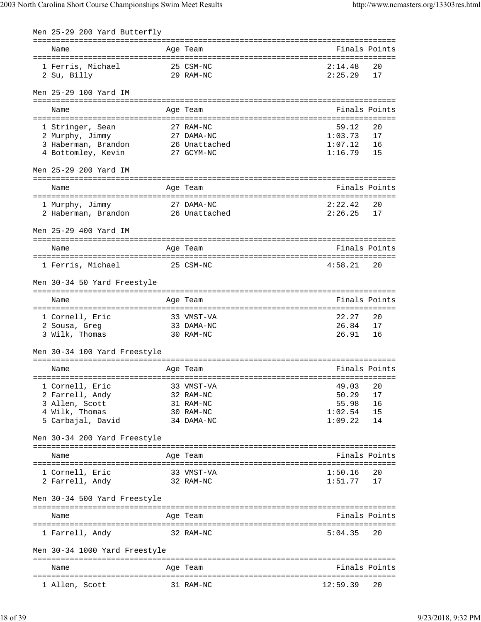| Men 25-29 200 Yard Butterfly                                                                             |                             |                    |               |
|----------------------------------------------------------------------------------------------------------|-----------------------------|--------------------|---------------|
| Name                                                                                                     | Age Team                    |                    | Finals Points |
| 1 Ferris, Michael                                                                                        | 25 CSM-NC                   | 2:14.48            | 20            |
| 2 Su, Billy                                                                                              | 29 RAM-NC                   | 2:25.29            | 17            |
|                                                                                                          |                             |                    |               |
| Men 25-29 100 Yard IM                                                                                    |                             |                    |               |
| Name                                                                                                     | Age Team                    |                    | Finals Points |
|                                                                                                          |                             |                    |               |
| 1 Stringer, Sean                                                                                         | 27 RAM-NC                   | 59.12              | 20            |
| 2 Murphy, Jimmy<br>3 Haberman, Brandon                                                                   | 27 DAMA-NC<br>26 Unattached | 1:03.73<br>1:07.12 | 17<br>16      |
| 4 Bottomley, Kevin                                                                                       | 27 GCYM-NC                  | 1:16.79            | 15            |
| Men 25-29 200 Yard IM                                                                                    |                             |                    |               |
|                                                                                                          |                             |                    |               |
| Name                                                                                                     | Age Team                    |                    | Finals Points |
| 1 Murphy, Jimmy                                                                                          | 27 DAMA-NC                  | 2:22.42            | 20            |
| 1 Murphy, Jimmy                           27 DAMA-NC<br>2 Haberman, Brandon                26 Unattached |                             | 2:26.25            | 17            |
| Men 25-29 400 Yard IM                                                                                    |                             |                    |               |
|                                                                                                          |                             |                    |               |
| Name                                                                                                     | Age Team                    | Finals Points      |               |
| 1 Ferris, Michael                                                                                        | 25 CSM-NC                   | 4:58.21            | 20            |
| Men 30-34 50 Yard Freestyle                                                                              |                             |                    |               |
|                                                                                                          |                             |                    |               |
| Name                                                                                                     | Age Team                    |                    | Finals Points |
| 1 Cornell, Eric                                                                                          | 33 VMST-VA                  | 22.27              | 20            |
| 33 DAMA-NC<br>2 Sousa, Greg                                                                              |                             | 26.84              | 17            |
| 3 Wilk, Thomas<br>30 RAM-NC                                                                              |                             | 26.91              | 16            |
| Men 30-34 100 Yard Freestyle                                                                             |                             |                    |               |
| Name                                                                                                     | Age Team                    |                    | Finals Points |
|                                                                                                          |                             |                    |               |
| 1 Cornell, Eric                                                                                          | 33 VMST-VA                  | 49.03              | 20            |
| 2 Farrell, Andy<br>3 Allen, Scott                                                                        | 32 RAM-NC<br>31 RAM-NC      | 50.29<br>55.98     | 17<br>16      |
| 4 Wilk, Thomas                                                                                           | 30 RAM-NC                   | 1:02.54            | 15            |
| 5 Carbajal, David                                                                                        | 34 DAMA-NC                  | 1:09.22            | 14            |
| Men 30-34 200 Yard Freestyle                                                                             |                             |                    |               |
|                                                                                                          |                             |                    |               |
| Name                                                                                                     | Age Team                    |                    | Finals Points |
| 1 Cornell, Eric                                                                                          | 33 VMST-VA                  | 1:50.16            | 20            |
| 2 Farrell, Andy                                                                                          | 32 RAM-NC                   | 1:51.77            | 17            |
| Men 30-34 500 Yard Freestyle                                                                             |                             |                    |               |
| Name                                                                                                     | Age Team                    |                    | Finals Points |
| 1 Farrell, Andy                                                                                          | 32 RAM-NC                   | 5:04.35            | 20            |
|                                                                                                          |                             |                    |               |
| Men 30-34 1000 Yard Freestyle                                                                            |                             |                    |               |
| Name                                                                                                     | Age Team                    |                    | Finals Points |
| 1 Allen, Scott                                                                                           | 31 RAM-NC                   | 12:59.39           | 20            |
|                                                                                                          |                             |                    |               |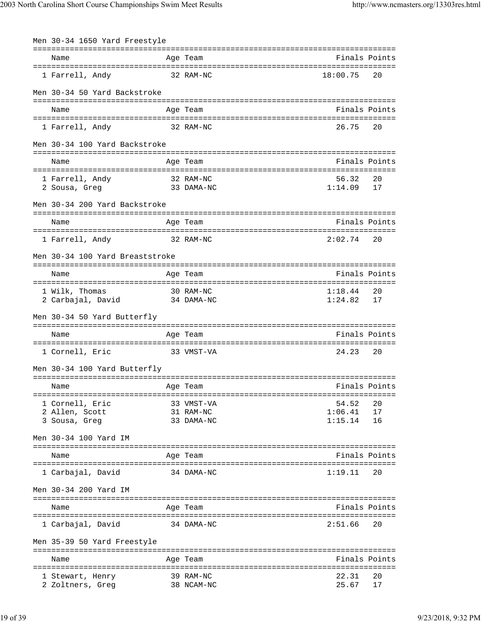| Men 30-34 1650 Yard Freestyle          |                                             |                    |               |
|----------------------------------------|---------------------------------------------|--------------------|---------------|
| Name                                   | Age Team                                    |                    | Finals Points |
| 1 Farrell, Andy                        | 32 RAM-NC                                   | 18:00.75           | 20            |
| Men 30-34 50 Yard Backstroke           |                                             |                    |               |
| Name                                   | Age Team                                    |                    | Finals Points |
| 1 Farrell, Andy                        | 32 RAM-NC                                   | 26.75              | 20            |
| Men 30-34 100 Yard Backstroke          |                                             |                    |               |
| Name                                   | Age Team                                    |                    | Finals Points |
|                                        | 32 RAM-NC                                   | 56.32              | 20            |
| 1 Farrell, Andy<br>2 Sousa, Greg       | 33 DAMA-NC                                  | 1:14.09            | 17            |
| Men 30-34 200 Yard Backstroke          |                                             |                    |               |
|                                        |                                             |                    |               |
| Name                                   | Age Team                                    |                    | Finals Points |
| 1 Farrell, Andy                        | 32 RAM-NC                                   | 2:02.74            | 20            |
| Men 30-34 100 Yard Breaststroke        |                                             |                    |               |
| Name                                   | Age Team                                    | Finals Points      |               |
| ====================================== | ================================            |                    |               |
| 1 Wilk, Thomas<br>2 Carbajal, David    | 30 RAM-NC<br>34 DAMA-NC                     | 1:18.44<br>1:24.82 | 20<br>17      |
|                                        |                                             |                    |               |
| Men 30-34 50 Yard Butterfly            |                                             |                    |               |
| Name                                   | Age Team                                    | Finals Points      |               |
| 1 Cornell, Eric                        | 33 VMST-VA                                  | 24.23              | 20            |
| Men 30-34 100 Yard Butterfly           |                                             |                    |               |
| Name                                   | Age Team                                    |                    | Finals Points |
| 1 Cornell, Eric                        | 33 VMST-VA                                  | 54.52              | 20            |
| 2 Allen, Scott                         | 31 RAM-NC                                   | 1:06.41            | 17            |
| 3 Sousa, Greg                          | 33 DAMA-NC                                  | 1:15.14            | 16            |
| Men 30-34 100 Yard IM                  |                                             |                    |               |
| Name                                   | Age Team                                    |                    | Finals Points |
| 1 Carbajal, David                      | 34 DAMA-NC                                  | 1:19.11            | 20            |
| Men 30-34 200 Yard IM                  |                                             |                    |               |
|                                        |                                             |                    |               |
| Name                                   | Age Team<br>=============================== | Finals Points      |               |
| 1 Carbajal, David                      | 34 DAMA-NC                                  | 2:51.66            | 20            |
| Men 35-39 50 Yard Freestyle            |                                             |                    |               |
| Name                                   | Age Team                                    |                    | Finals Points |
| 1 Stewart, Henry                       | 39 RAM-NC                                   | 22.31              | 20            |
| 2 Zoltners, Greg                       | 38 NCAM-NC                                  | 25.67              | 17            |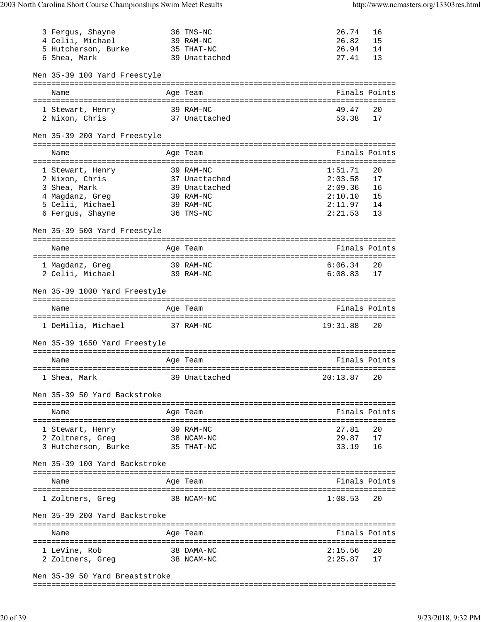| 3 Fergus, Shayne<br>4 Celii, Michael | 36 TMS-NC<br>39 RAM-NC    | 26.74<br>26.82 | 16<br>15      |
|--------------------------------------|---------------------------|----------------|---------------|
| 5 Hutcherson, Burke 35 THAT-NC       |                           | 26.94          | 14            |
| 6 Shea, Mark                         | 39 Unattached             | 27.41          | 13            |
| Men 35-39 100 Yard Freestyle         |                           |                |               |
|                                      |                           |                |               |
| Name                                 | Age Team                  |                | Finals Points |
| 1 Stewart, Henry                     | 39 RAM-NC                 | 49.47          | 20            |
| 2 Nixon, Chris                       | 37 Unattached             | 53.38          | 17            |
|                                      |                           |                |               |
| Men 35-39 200 Yard Freestyle         |                           |                |               |
| Name                                 | Age Team                  |                | Finals Points |
|                                      | 39 RAM-NC                 | 1:51.71        | 20            |
| 1 Stewart, Henry<br>2 Nixon, Chris   | 37 Unattached             | 2:03.58        | 17            |
| 3 Shea, Mark                         | 39 Unattached             | 2:09.36        | 16            |
| 4 Magdanz, Greg                      | 39 RAM-NC                 | 2:10.10        | 15            |
| 5 Celii, Michael                     | 39 RAM-NC                 | 2:11.97        | 14            |
| 6 Fergus, Shayne                     | 36 TMS-NC                 | 2:21.53        | 13            |
| Men 35-39 500 Yard Freestyle         |                           |                |               |
|                                      |                           |                |               |
| Name                                 | Age Team                  |                | Finals Points |
| 1 Magdanz, Greg<br>39 RAM-NC         |                           | 6:06.34        | 20            |
| 2 Celii, Michael<br>39 RAM-NC        |                           | 6:08.83        | 17            |
| Men 35-39 1000 Yard Freestyle        |                           |                |               |
|                                      |                           |                |               |
|                                      |                           |                |               |
| Name                                 | Age Team                  | Finals Points  |               |
| 1 DeMilia, Michael 37 RAM-NC         |                           | 19:31.88       | 20            |
| Men 35-39 1650 Yard Freestyle        |                           |                |               |
| Name                                 | Age Team                  |                | Finals Points |
|                                      |                           |                |               |
| 1 Shea, Mark                         | 39 Unattached 20:13.87 20 |                |               |
| Men 35-39 50 Yard Backstroke         |                           |                |               |
| Name                                 |                           |                | Finals Points |
|                                      | Age Team                  |                |               |
| 1 Stewart, Henry                     | 39 RAM-NC                 | 27.81          | 20            |
| 2 Zoltners, Greg                     |                           | 29.87          | 17            |
| 3 Hutcherson, Burke                  | 38 NCAM-NC<br>35 THAT-NC  | 33.19          | 16            |
| Men 35-39 100 Yard Backstroke        |                           |                |               |
| Name                                 | Age Team                  |                | Finals Points |
|                                      |                           |                |               |
| 1 Zoltners, Greg                     | 38 NCAM-NC                | 1:08.53        | 20            |
| Men 35-39 200 Yard Backstroke        |                           |                |               |
| Name                                 | Age Team                  |                | Finals Points |
|                                      |                           |                |               |
| 1 LeVine, Rob                        | 38 DAMA-NC                | 2:15.56        | 20<br>17      |
| 2 Zoltners, Greg                     | 38 NCAM-NC                | 2:25.87        |               |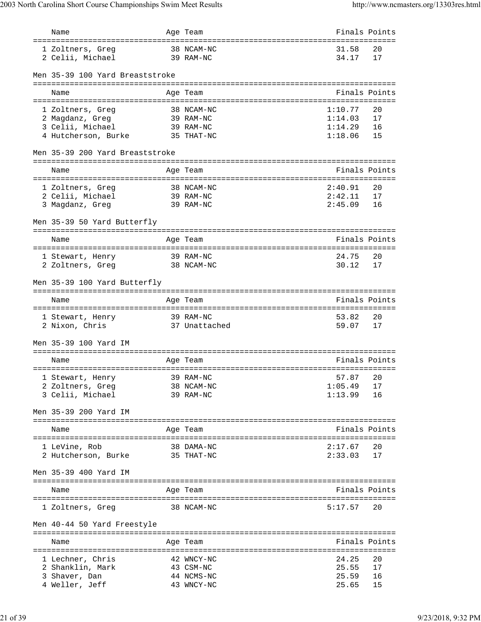| Name                                  | Age Team                |                     | Finals Points |
|---------------------------------------|-------------------------|---------------------|---------------|
| 1 Zoltners, Greg<br>2 Celii, Michael  | 38 NCAM-NC<br>39 RAM-NC | 31.58<br>34.17      | 20<br>17      |
| Men 35-39 100 Yard Breaststroke       |                         |                     |               |
|                                       |                         |                     |               |
| Name                                  | Age Team                |                     | Finals Points |
| 1 Zoltners, Greg                      | 38 NCAM-NC              | 1:10.77             | 20            |
| 2 Magdanz, Greg                       | 39 RAM-NC               | 1:14.03             | 17            |
| 3 Celii, Michael                      | 39 RAM-NC               | 1:14.29             | 16            |
| 4 Hutcherson, Burke 35 THAT-NC        |                         | 1:18.06             | 15            |
| Men 35-39 200 Yard Breaststroke       |                         |                     |               |
| Name                                  | Age Team                |                     | Finals Points |
|                                       | 38 NCAM-NC              | 2:40.91             | 20            |
| 1 Zoltners, Greg<br>2 Celii, Michael  | 39 RAM-NC               | 2:42.11             | 17            |
| 3 Magdanz, Greg                       | 39 RAM-NC               | 2:45.09             | 16            |
|                                       |                         |                     |               |
| Men 35-39 50 Yard Butterfly           |                         |                     |               |
| Name                                  | Age Team                |                     | Finals Points |
|                                       |                         |                     |               |
| 1 Stewart, Henry                      | 39 RAM-NC               | 24.75               | 20            |
| 2 Zoltners, Greg                      | 38 NCAM-NC              | 30.12               | 17            |
| Men 35-39 100 Yard Butterfly          |                         |                     |               |
| Name                                  | Age Team                |                     | Finals Points |
| ===================================== |                         | =================== |               |
| 1 Stewart, Henry                      | 39 RAM-NC               | 53.82               | 20            |
| 2 Nixon, Chris                        | 37 Unattached           | 59.07               | 17            |
| Men 35-39 100 Yard IM                 |                         |                     |               |
| Name                                  | Age Team                |                     | Finals Points |
|                                       |                         |                     |               |
| 1 Stewart, Henry 39 RAM-NC            |                         | 57.87 20            |               |
| 2 Zoltners, Greg                      | 38 NCAM-NC              | 1:05.49             | 17            |
| 3 Celii, Michael                      | 39 RAM-NC               | 1:13.99             | 16            |
| Men 35-39 200 Yard IM                 |                         |                     |               |
| Name                                  | Age Team                |                     | Finals Points |
|                                       |                         |                     |               |
| 1 LeVine, Rob                         | 38 DAMA-NC              | 2:17.67             | 20            |
| 2 Hutcherson, Burke                   | 35 THAT-NC              | 2:33.03             | 17            |
| Men 35-39 400 Yard IM                 |                         |                     |               |
| Name                                  | Age Team                |                     | Finals Points |
|                                       |                         |                     |               |
| 1 Zoltners, Greg                      | 38 NCAM-NC              | 5:17.57             | 20            |
| Men 40-44 50 Yard Freestyle           |                         |                     |               |
| Name                                  |                         |                     | Finals Points |
|                                       | Age Team                |                     |               |
| 1 Lechner, Chris                      | 42 WNCY-NC              | 24.25               | 20            |
| 2 Shanklin, Mark                      | 43 CSM-NC               | 25.55               | 17            |
| 3 Shaver, Dan                         | 44 NCMS-NC              | 25.59               | 16            |
| 4 Weller, Jeff                        | 43 WNCY-NC              | 25.65               | 15            |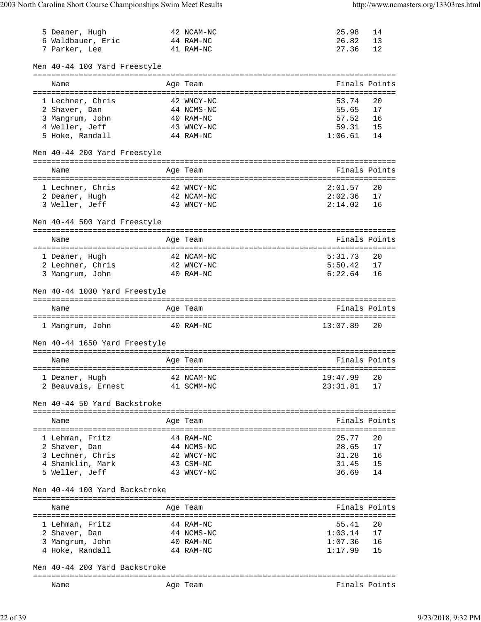| 5 Deaner, Hugh<br>6 Waldbauer, Eric 44 RAM-NC              | 42 NCAM-NC              | 25.98<br>26.82   | 14<br>13      |
|------------------------------------------------------------|-------------------------|------------------|---------------|
| 7 Parker, Lee                                              | 41 RAM-NC               | 27.36            | 12            |
| Men 40-44 100 Yard Freestyle                               |                         |                  |               |
| Name                                                       | Age Team                |                  | Finals Points |
| ======================================<br>1 Lechner, Chris | 42 WNCY-NC              | 53.74            | 20            |
| 2 Shaver, Dan                                              | 44 NCMS-NC              | 55.65            | 17            |
| 3 Mangrum, John                                            | 40 RAM-NC               | 57.52            | 16            |
| 4 Weller, Jeff                                             | 43 WNCY-NC              | 59.31            | 15            |
| 5 Hoke, Randall                                            | 44 RAM-NC               | 1:06.61          | 14            |
| Men 40-44 200 Yard Freestyle                               |                         |                  |               |
| Name                                                       | Age Team                |                  | Finals Points |
|                                                            |                         |                  |               |
| 1 Lechner, Chris                                           | 42 WNCY-NC              | 2:01.57          | 20            |
| 2 Deaner, Hugh                                             | 42 NCAM-NC              | 2:02.36          | 17            |
| 3 Weller, Jeff<br>43 WNCY-NC                               |                         | 2:14.02          | 16            |
| Men 40-44 500 Yard Freestyle                               |                         |                  |               |
| Name                                                       | Age Team                |                  | Finals Points |
| 1 Deaner, Hugh                                             | 42 NCAM-NC              | 5:31.73          | 20            |
| 2 Lechner, Chris                                           | 42 WNCY-NC              | 5:50.42          | 17            |
| 3 Mangrum, John                                            | 40 RAM-NC               | 6:22.64          | 16            |
| Men 40-44 1000 Yard Freestyle                              |                         |                  |               |
| Name                                                       | Age Team                | Finals Points    |               |
| 40 RAM-NC<br>1 Mangrum, John                               |                         | 13:07.89         | 20            |
| Men 40-44 1650 Yard Freestyle                              |                         |                  |               |
| Name                                                       | Age Team                |                  | Finals Points |
|                                                            | 42 NCAM-NC              | 19:47.99         |               |
| 1 Deaner, Hugh<br>2 Beauvais, Ernest                       | 41 SCMM-NC              | 23:31.81         | 20<br>17      |
| Men 40-44 50 Yard Backstroke                               |                         |                  |               |
|                                                            |                         |                  |               |
| Name                                                       | Age Team                |                  | Finals Points |
| 1 Lehman, Fritz                                            | 44 RAM-NC               | 25.77            | 20            |
| 2 Shaver, Dan                                              | 44 NCMS-NC              | 28.65            | 17            |
| 3 Lechner, Chris                                           | 42 WNCY-NC              | 31.28            | 16            |
| 4 Shanklin, Mark                                           | 43 CSM-NC               | 31.45            | 15            |
| 5 Weller, Jeff                                             | 43 WNCY-NC              | 36.69            | 14            |
| Men 40-44 100 Yard Backstroke                              |                         |                  |               |
| Name                                                       | Age Team                |                  | Finals Points |
|                                                            |                         |                  |               |
| 1 Lehman, Fritz<br>2 Shaver, Dan                           | 44 RAM-NC<br>44 NCMS-NC | 55.41<br>1:03.14 | 20<br>17      |
| 3 Mangrum, John                                            | 40 RAM-NC               | 1:07.36          | 16            |
| 4 Hoke, Randall                                            | 44 RAM-NC               | 1:17.99          | 15            |
| Men 40-44 200 Yard Backstroke                              |                         |                  |               |
|                                                            |                         |                  |               |
| Name                                                       | Age Team                |                  | Finals Points |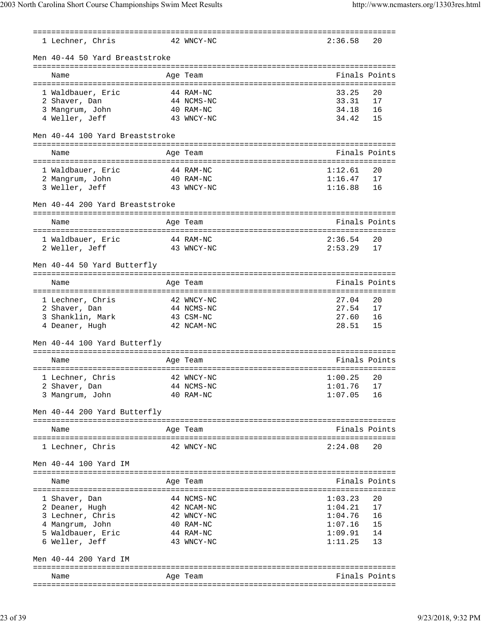| 1 Lechner, Chris                   | 42 WNCY-NC              | 2:36.58        | 20            |
|------------------------------------|-------------------------|----------------|---------------|
| Men 40-44 50 Yard Breaststroke     |                         |                |               |
| Name                               | Age Team                |                | Finals Points |
|                                    |                         |                |               |
| 1 Waldbauer, Eric                  | 44 RAM-NC               | 33.25          | 20            |
| 2 Shaver, Dan                      | 44 NCMS-NC              | 33.31          | 17            |
| 3 Mangrum, John                    | 40 RAM-NC               | 34.18          | 16            |
| 4 Weller, Jeff                     | 43 WNCY-NC              | 34.42          | 15            |
| Men 40-44 100 Yard Breaststroke    |                         |                |               |
|                                    |                         |                | Finals Points |
| Name                               | Age Team                |                |               |
| 1 Waldbauer, Eric                  | 44 RAM-NC               | 1:12.61        | 20            |
| 2 Mangrum, John                    | 40 RAM-NC               | 1:16.47        | 17            |
| 3 Weller, Jeff                     | 43 WNCY-NC              | 1:16.88        | 16            |
| Men 40-44 200 Yard Breaststroke    |                         |                |               |
|                                    |                         |                |               |
| Name                               | Age Team                |                | Finals Points |
| 1 Waldbauer, Eric                  | 44 RAM-NC               | 2:36.54        | 20            |
| 2 Weller, Jeff                     | 43 WNCY-NC              | 2:53.29        | 17            |
|                                    |                         |                |               |
| Men 40-44 50 Yard Butterfly        |                         |                |               |
|                                    |                         |                |               |
| Name                               | Age Team                |                | Finals Points |
|                                    |                         |                |               |
| 1 Lechner, Chris                   | 42 WNCY-NC              | 27.04          | 20            |
| 2 Shaver, Dan                      | 44 NCMS-NC              | 27.54<br>27.60 | 17<br>16      |
| 3 Shanklin, Mark<br>4 Deaner, Hugh | 43 CSM-NC<br>42 NCAM-NC | 28.51          | 15            |
|                                    |                         |                |               |
| Men 40-44 100 Yard Butterfly       |                         |                |               |
| Name                               | Age Team                |                | Finals Points |
|                                    |                         |                |               |
| 1 Lechner, Chris 42 WNCY-NC        |                         | $1:00.25$ 20   |               |
| 2 Shaver, Dan                      | 44 NCMS-NC              | 1:01.76        | 17            |
| 3 Mangrum, John                    | 40 RAM-NC               | 1:07.05        | 16            |
| Men 40-44 200 Yard Butterfly       |                         |                |               |
| Name                               | Age Team                |                | Finals Points |
|                                    |                         |                |               |
| 1 Lechner, Chris                   | 42 WNCY-NC              | 2:24.08        | 20            |
| Men 40-44 100 Yard IM              |                         |                |               |
|                                    |                         |                |               |
| Name                               | Age Team                |                | Finals Points |
| 1 Shaver, Dan                      | 44 NCMS-NC              | 1:03.23        | 20            |
| 2 Deaner, Hugh                     | 42 NCAM-NC              | 1:04.21        | 17            |
| 3 Lechner, Chris                   | 42 WNCY-NC              | 1:04.76        | 16            |
| 4 Mangrum, John                    | 40 RAM-NC               | 1:07.16        | 15            |
| 5 Waldbauer, Eric                  | 44 RAM-NC               | 1:09.91        | 14            |
| 6 Weller, Jeff                     | 43 WNCY-NC              | 1:11.25        | 13            |
| Men 40-44 200 Yard IM              |                         |                |               |
|                                    |                         |                |               |
| Name                               | Age Team                |                | Finals Points |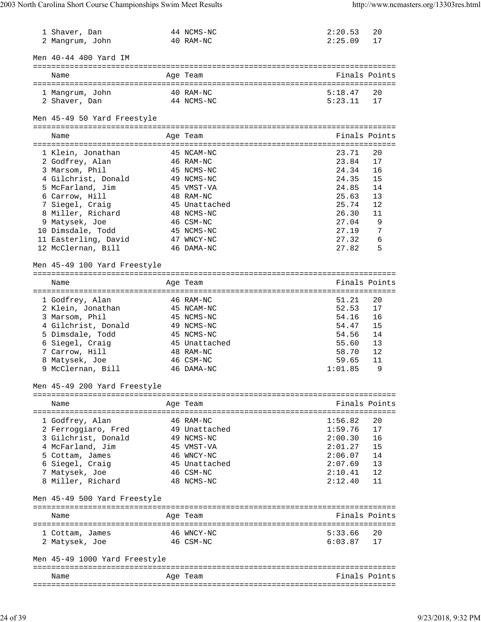| 1 Shaver, Dan<br>2 Mangrum, John        | 44 NCMS-NC<br>40 RAM-NC                      | 2:20.53<br>2:25.09 | 20<br>17      |
|-----------------------------------------|----------------------------------------------|--------------------|---------------|
| Men 40-44 400 Yard IM                   |                                              |                    |               |
| Name                                    | Age Team                                     |                    | Finals Points |
| 1 Mangrum, John                         | 40 RAM-NC                                    | 5:18.47            | 20            |
| 2 Shaver, Dan                           | 44 NCMS-NC                                   | 5:23.11            | 17            |
| Men 45-49 50 Yard Freestyle             |                                              |                    |               |
| Name                                    | Age Team                                     |                    | Finals Points |
|                                         |                                              |                    |               |
| 1 Klein, Jonathan                       | 45 NCAM-NC                                   | 23.71              | 20            |
| 2 Godfrey, Alan                         | 46 RAM-NC                                    | 23.84              | 17            |
| 3 Marsom, Phil                          | 45 NCMS-NC                                   | 24.34              | 16            |
| 4 Gilchrist, Donald<br>5 McFarland, Jim | 49 NCMS-NC<br>45 VMST-VA                     | 24.35<br>24.85     | 15<br>14      |
| 6 Carrow, Hill                          | 48 RAM-NC                                    | 25.63              | 13            |
| 7 Siegel, Craig                         | 45 Unattached                                | 25.74              | 12            |
| 8 Miller, Richard                       | 48 NCMS-NC                                   | 26.30              | 11            |
| 9 Matysek, Joe                          | 46 CSM-NC                                    | 27.04              | 9             |
| 10 Dimsdale, Todd                       | 45 NCMS-NC                                   | 27.19              | 7             |
| 11 Easterling, David                    | 47 WNCY-NC                                   | 27.32              | 6             |
| 12 McClernan, Bill                      | 46 DAMA-NC                                   | 27.82              | 5             |
| Men 45-49 100 Yard Freestyle            |                                              |                    |               |
|                                         |                                              |                    |               |
| Name                                    | Age Team<br>:=============================== |                    | Finals Points |
| 1 Godfrey, Alan                         | 46 RAM-NC                                    | 51.21              | 20            |
| 2 Klein, Jonathan                       | 45 NCAM-NC                                   | 52.53              | 17            |
| 3 Marsom, Phil                          | 45 NCMS-NC                                   | 54.16              | 16            |
| 4 Gilchrist, Donald                     | 49 NCMS-NC                                   | 54.47              | 15            |
| 5 Dimsdale, Todd                        | 45 NCMS-NC                                   | 54.56              | 14            |
| 6 Siegel, Craig                         | 45 Unattached                                | 55.60              | 13            |
| 7 Carrow, Hill                          | 48 RAM-NC                                    | 58.70              | 12            |
| 8 Matysek, Joe                          | 46 CSM-NC                                    | 59.65              | 11            |
| 9 McClernan, Bill                       | 46 DAMA-NC                                   | 1:01.85            | 9             |
| Men 45-49 200 Yard Freestyle            |                                              |                    |               |
| Name                                    | Age Team                                     |                    | Finals Points |
|                                         |                                              |                    |               |
| 1 Godfrey, Alan                         | 46 RAM-NC                                    | 1:56.82            | 20            |
| 2 Ferroggiaro, Fred                     | 49 Unattached                                | 1:59.76            | 17            |
| 3 Gilchrist, Donald                     | 49 NCMS-NC                                   | 2:00.30            | 16            |
| 4 McFarland, Jim                        | 45 VMST-VA                                   | 2:01.27            | 15            |
| 5 Cottam, James                         | 46 WNCY-NC                                   | 2:06.07            | 14            |
| 6 Siegel, Craig                         | 45 Unattached                                | 2:07.69            | 13            |
| 7 Matysek, Joe                          | 46 CSM-NC                                    | 2:10.41            | 12            |
| 8 Miller, Richard                       | 48 NCMS-NC                                   | 2:12.40            | 11            |
| Men 45-49 500 Yard Freestyle            |                                              |                    |               |
| Name                                    | Age Team                                     |                    | Finals Points |
| 1 Cottam, James                         | 46 WNCY-NC                                   | 5:33.66            | 20            |
| 2 Matysek, Joe                          | 46 CSM-NC                                    | 6:03.87            | 17            |
| Men 45-49 1000 Yard Freestyle           |                                              |                    |               |
|                                         |                                              |                    |               |
| Name                                    | Age Team                                     |                    | Finals Points |
|                                         |                                              |                    |               |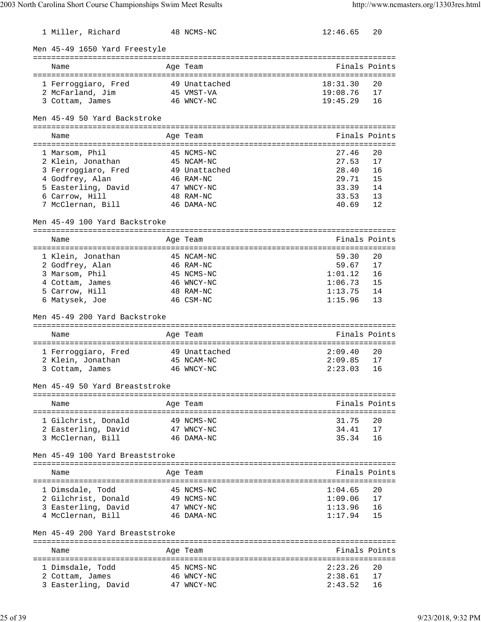| 1 Miller, Richard                        | 48 NCMS-NC               | 12:46.65 | 20            |
|------------------------------------------|--------------------------|----------|---------------|
| Men 45-49 1650 Yard Freestyle            |                          |          |               |
| Name                                     | Age Team                 |          | Finals Points |
| 1 Ferroggiaro, Fred                      | 49 Unattached            | 18:31.30 | 20            |
| 2 McFarland, Jim                         | 45 VMST-VA               | 19:08.76 | 17            |
| 3 Cottam, James                          | 46 WNCY-NC               | 19:45.29 | 16            |
|                                          |                          |          |               |
| Men 45-49 50 Yard Backstroke             |                          |          |               |
| Name                                     | Age Team                 |          | Finals Points |
|                                          | 45 NCMS-NC               | 27.46    | 20            |
| 1 Marsom, Phil<br>2 Klein, Jonathan      | 45 NCAM-NC               | 27.53    | 17            |
| 3 Ferroggiaro, Fred                      | 49 Unattached            | 28.40    | 16            |
| 4 Godfrey, Alan                          | 46 RAM-NC                | 29.71    | 15            |
| 5 Easterling, David                      | 47 WNCY-NC               | 33.39    | 14            |
| 6 Carrow, Hill                           | 48 RAM-NC                | 33.53    | 13            |
| 7 McClernan, Bill                        | 46 DAMA-NC               | 40.69    | 12            |
|                                          |                          |          |               |
| Men 45-49 100 Yard Backstroke            |                          |          |               |
| Name                                     | Age Team                 |          | Finals Points |
|                                          | 45 NCAM-NC               | 59.30    | 20            |
| 1 Klein, Jonathan                        |                          | 59.67    | 17            |
| 2 Godfrey, Alan                          | 46 RAM-NC                |          |               |
| 3 Marsom, Phil                           | 45 NCMS-NC               | 1:01.12  | 16            |
| 4 Cottam, James                          | 46 WNCY-NC               | 1:06.73  | 15            |
| 5 Carrow, Hill                           | 48 RAM-NC                | 1:13.75  | 14            |
| 6 Matysek, Joe                           | 46 CSM-NC                | 1:15.96  | 13            |
| Men 45-49 200 Yard Backstroke            |                          |          |               |
| Name                                     | Age Team                 |          | Finals Points |
|                                          |                          |          |               |
| 1 Ferroggiaro, Fred                      | 49 Unattached            | 2:09.40  | 20            |
| 2 Klein, Jonathan                        | 45 NCAM-NC               | 2:09.85  | 17            |
| 3 Cottam, James                          | 46 WNCY-NC               | 2:23.03  | 16            |
| Men 45-49 50 Yard Breaststroke           |                          |          |               |
|                                          |                          |          |               |
| Name                                     | Age Team                 |          | Finals Points |
| 1 Gilchrist, Donald                      | 49 NCMS-NC               | 31.75    | 20            |
|                                          |                          | 34.41    | 17            |
| 2 Easterling, David<br>3 McClernan, Bill | 47 WNCY-NC<br>46 DAMA-NC | 35.34    | 16            |
|                                          |                          |          |               |
| Men 45-49 100 Yard Breaststroke          |                          |          |               |
| Name                                     | Age Team                 |          | Finals Points |
|                                          |                          |          |               |
| 1 Dimsdale, Todd                         | 45 NCMS-NC               | 1:04.65  | 20            |
| 2 Gilchrist, Donald                      | 49 NCMS-NC               | 1:09.06  | 17            |
| 3 Easterling, David                      | 47 WNCY-NC               | 1:13.96  | 16            |
| 4 McClernan, Bill                        | 46 DAMA-NC               | 1:17.94  | 15            |
| Men 45-49 200 Yard Breaststroke          |                          |          |               |
| Name                                     | Age Team                 |          | Finals Points |
|                                          |                          |          |               |
| 1 Dimsdale, Todd                         | 45 NCMS-NC               | 2:23.26  | 20            |
| 2 Cottam, James                          | 46 WNCY-NC               | 2:38.61  | 17            |
| 3 Easterling, David                      | 47 WNCY-NC               | 2:43.52  | 16            |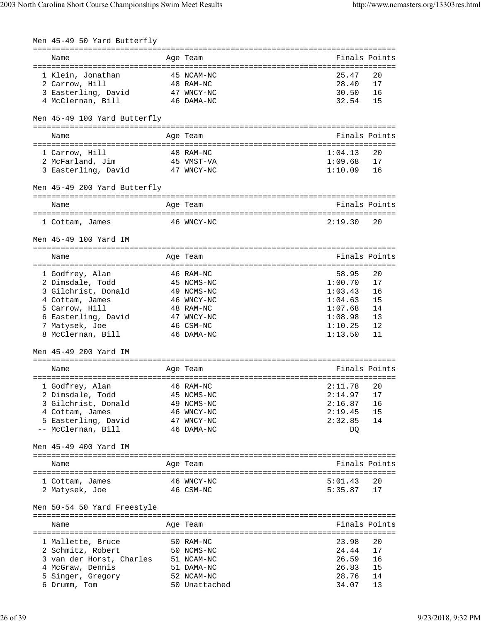| Men 45-49 50 Yard Butterfly  |                                         |               |               |
|------------------------------|-----------------------------------------|---------------|---------------|
| Name                         | ===========================<br>Age Team |               | Finals Points |
| 1 Klein, Jonathan            | 45 NCAM-NC                              | 25.47         | 20            |
| 2 Carrow, Hill               | 48 RAM-NC                               | 28.40         | 17            |
| 3 Easterling, David          | 47 WNCY-NC                              | 30.50         | 16            |
| 4 McClernan, Bill            | 46 DAMA-NC                              | 32.54         | 15            |
| Men 45-49 100 Yard Butterfly |                                         |               |               |
| Name                         | Age Team                                | Finals Points |               |
| 1 Carrow, Hill               | 48 RAM-NC                               | 1:04.13       | 20            |
| 2 McFarland, Jim             | 45 VMST-VA                              | 1:09.68       | 17            |
| 3 Easterling, David          | 47 WNCY-NC                              | 1:10.09       | 16            |
| Men 45-49 200 Yard Butterfly |                                         |               |               |
| Name                         | Age Team                                |               | Finals Points |
| 1 Cottam, James              | 46 WNCY-NC                              | 2:19.30       | 20            |
| Men 45-49 100 Yard IM        |                                         |               |               |
|                              |                                         |               |               |
| Name                         | Age Team                                | Finals Points |               |
| 1 Godfrey, Alan              | 46 RAM-NC                               | 58.95         | 20            |
| 2 Dimsdale, Todd             | 45 NCMS-NC                              | 1:00.70       | 17            |
| 3 Gilchrist, Donald          | 49 NCMS-NC                              | 1:03.43       | 16            |
| 4 Cottam, James              | 46 WNCY-NC                              | 1:04.63       | 15            |
| 5 Carrow, Hill               | 48 RAM-NC                               | 1:07.68       | 14            |
| 6 Easterling, David          | 47 WNCY-NC                              | 1:08.98       | 13            |
| 7 Matysek, Joe               | 46 CSM-NC                               | 1:10.25       | 12            |
| 8 McClernan, Bill            | 46 DAMA-NC                              | 1:13.50       | 11            |
| Men 45-49 200 Yard IM        |                                         |               |               |
| Name                         | Age Team                                | Finals Points |               |
| 1 Godfrey, Alan              | 46 RAM-NC                               | 2:11.78       | 20            |
| 2 Dimsdale, Todd             | 45 NCMS-NC                              | 2:14.97       | 17            |
| 3 Gilchrist, Donald          | 49 NCMS-NC                              | 2:16.87       | 16            |
| 4 Cottam, James              | 46 WNCY-NC                              | 2:19.45       | 15            |
| 5 Easterling, David          | 47 WNCY-NC                              | 2:32.85       | 14            |
| -- McClernan, Bill           | 46 DAMA-NC                              | DQ            |               |
| Men 45-49 400 Yard IM        |                                         |               |               |
| Name                         | Age Team                                |               | Finals Points |
|                              |                                         |               |               |
| 1 Cottam, James              | 46 WNCY-NC                              | 5:01.43       | 20            |
| 2 Matysek, Joe               | 46 CSM-NC                               | 5:35.87       | 17            |
| Men 50-54 50 Yard Freestyle  |                                         |               |               |
| Name                         | Age Team                                |               | Finals Points |
| 1 Mallette, Bruce            | 50 RAM-NC                               | 23.98         | 20            |
| 2 Schmitz, Robert            | 50 NCMS-NC                              | 24.44         | 17            |
| 3 van der Horst, Charles     | 51 NCAM-NC                              | 26.59         | 16            |
| 4 McGraw, Dennis             | 51 DAMA-NC                              | 26.83         | 15            |
| 5 Singer, Gregory            | 52 NCAM-NC                              | 28.76         | 14            |
| 6 Drumm, Tom                 | 50 Unattached                           | 34.07         | 13            |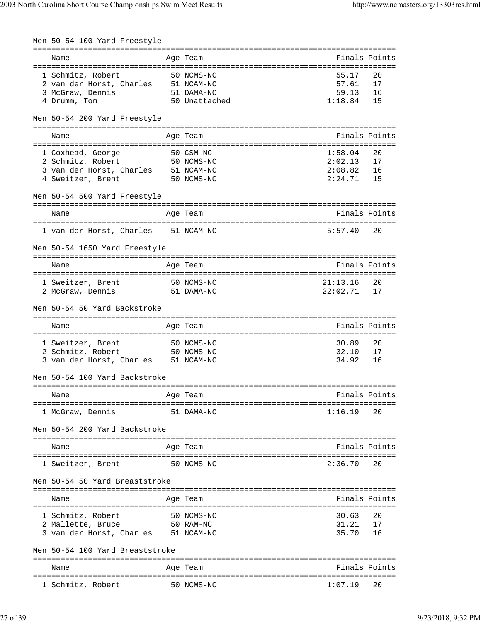| Men 50-54 100 Yard Freestyle                                                                            |                                            |                                    |                      |
|---------------------------------------------------------------------------------------------------------|--------------------------------------------|------------------------------------|----------------------|
| Name                                                                                                    | ------------------------------<br>Age Team |                                    | Finals Points        |
| 1 Schmitz, Robert 50 NCMS-NC<br>2 van der Horst, Charles 51 NCAM-NC<br>3 McGraw, Dennis<br>4 Drumm, Tom | 51 DAMA-NC<br>50 Unattached                | 55.17<br>57.61<br>59.13<br>1:18.84 | 20<br>17<br>16<br>15 |
| Men 50-54 200 Yard Freestyle                                                                            |                                            |                                    |                      |
| Name                                                                                                    | Age Team                                   |                                    | Finals Points        |
| 50 CSM-NC                                                                                               |                                            |                                    | 20                   |
| 1 Coxhead, George<br>2 Schmitz, Robert<br>50 NCMS-NC                                                    |                                            | 1:58.04<br>2:02.13                 | 17                   |
| 3 van der Horst, Charles 51 NCAM-NC                                                                     |                                            | 2:08.82                            | 16                   |
| 4 Sweitzer, Brent<br>50 NCMS-NC                                                                         |                                            | 2:24.71                            | 15                   |
| Men 50-54 500 Yard Freestyle                                                                            |                                            |                                    |                      |
| Name                                                                                                    | Age Team                                   |                                    | Finals Points        |
| 1 van der Horst, Charles 51 NCAM-NC                                                                     |                                            | 5:57.40                            | 20                   |
| Men 50-54 1650 Yard Freestyle                                                                           |                                            |                                    |                      |
|                                                                                                         |                                            |                                    |                      |
| Name                                                                                                    | Age Team                                   |                                    | Finals Points        |
| 1 Sweitzer, Brent 50 NCMS-NC                                                                            |                                            | 21:13.16                           | 20                   |
| 2 McGraw, Dennis                                                                                        | 51 DAMA-NC                                 | 22:02.71                           | 17                   |
| Men 50-54 50 Yard Backstroke                                                                            |                                            |                                    |                      |
| Name                                                                                                    | Age Team                                   |                                    | Finals Points        |
| 1 Sweitzer, Brent                                                                                       | 50 NCMS-NC                                 | 30.89                              | 20                   |
| 2 Schmitz, Robert                                                                                       | 50 NCMS-NC                                 | 32.10                              | 17                   |
| 3 van der Horst, Charles 51 NCAM-NC                                                                     |                                            | 34.92                              | 16                   |
| Men 50-54 100 Yard Backstroke                                                                           |                                            |                                    |                      |
| Name                                                                                                    | Age Team                                   |                                    | Finals Points        |
| 1 McGraw, Dennis                                                                                        | 51 DAMA-NC                                 | 1:16.19                            | 20                   |
| Men 50-54 200 Yard Backstroke                                                                           |                                            |                                    |                      |
|                                                                                                         |                                            |                                    |                      |
| Name                                                                                                    | Age Team                                   |                                    | Finals Points        |
| 1 Sweitzer, Brent                                                                                       | 50 NCMS-NC                                 | 2:36.70                            | 20                   |
| Men 50-54 50 Yard Breaststroke                                                                          |                                            |                                    |                      |
| Name                                                                                                    | Age Team                                   |                                    | Finals Points        |
| 1 Schmitz, Robert                                                                                       | 50 NCMS-NC                                 | 30.63                              | 20                   |
| 2 Mallette, Bruce                                                                                       | 50 RAM-NC                                  | 31.21                              | 17                   |
| 3 van der Horst, Charles 51 NCAM-NC                                                                     |                                            | 35.70                              | 16                   |
| Men 50-54 100 Yard Breaststroke                                                                         |                                            |                                    |                      |
| Name                                                                                                    | Age Team                                   |                                    | Finals Points        |
|                                                                                                         |                                            |                                    |                      |
| 1 Schmitz, Robert                                                                                       | 50 NCMS-NC                                 | 1:07.19                            | 20                   |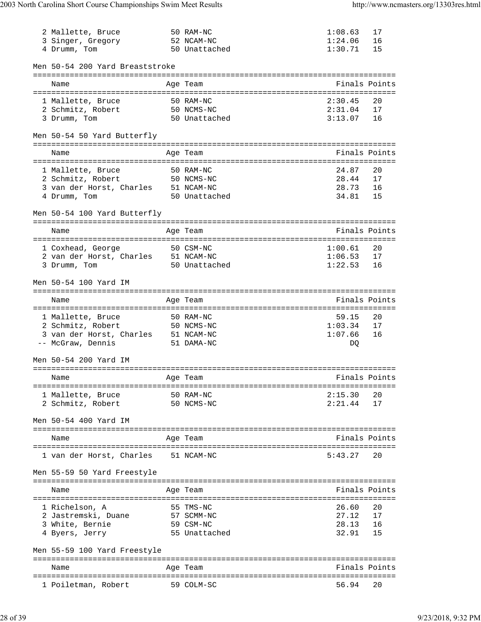| 2 Mallette, Bruce<br>3 Singer, Gregory<br>4 Drumm, Tom   | 50 RAM-NC<br>52 NCAM-NC<br>50 Unattached | 1:08.63<br>1:24.06<br>1:30.71 | 17<br>16<br>15 |
|----------------------------------------------------------|------------------------------------------|-------------------------------|----------------|
| Men 50-54 200 Yard Breaststroke                          |                                          |                               |                |
|                                                          |                                          |                               |                |
| Name                                                     | Age Team                                 |                               | Finals Points  |
| 1 Mallette, Bruce                                        | 50 RAM-NC                                | 2:30.45                       | 20             |
| 2 Schmitz, Robert                                        | 50 NCMS-NC                               | 2:31.04                       | 17             |
| 3 Drumm, Tom                                             | 50 Unattached                            | 3:13.07                       | 16             |
| Men 50-54 50 Yard Butterfly                              |                                          |                               |                |
| Name                                                     | Age Team                                 |                               | Finals Points  |
|                                                          |                                          |                               |                |
| 1 Mallette, Bruce                                        | 50 RAM-NC<br>50 NCMS-NC                  | 24.87                         | 20             |
| 2 Schmitz, Robert                                        |                                          | 28.44                         | 17             |
| 3 van der Horst, Charles 51 NCAM-NC                      |                                          | 28.73                         | 16             |
| 4 Drumm, Tom                                             | 50 Unattached                            | 34.81                         | 15             |
| Men 50-54 100 Yard Butterfly                             |                                          |                               |                |
| Name                                                     | Age Team                                 |                               | Finals Points  |
|                                                          |                                          |                               |                |
| 1 Coxhead, George                                        | 50 CSM-NC                                | 1:00.61                       | 20             |
| 2 van der Horst, Charles 51 NCAM-NC                      |                                          | 1:06.53                       | 17             |
| 3 Drumm, Tom                                             | 50 Unattached                            | 1:22.53                       | 16             |
| Men 50-54 100 Yard IM                                    |                                          |                               |                |
| Name                                                     | Age Team                                 |                               | Finals Points  |
|                                                          |                                          |                               |                |
| 1 Mallette, Bruce                                        | 50 RAM-NC                                | 59.15                         | 20             |
| 2 Schmitz, Robert                                        | 50 NCMS-NC                               | 1:03.34<br>1:07.66            | 17<br>16       |
| 3 van der Horst, Charles 51 NCAM-NC<br>-- McGraw, Dennis | 51 DAMA-NC                               | DQ                            |                |
|                                                          |                                          |                               |                |
|                                                          |                                          |                               |                |
| Men 50-54 200 Yard IM                                    |                                          |                               |                |
|                                                          |                                          |                               |                |
| Name                                                     | Age Team                                 |                               | Finals Points  |
|                                                          |                                          |                               | 20             |
| 1 Mallette, Bruce<br>50 NCMS-NC<br>2 Schmitz, Robert     | 50 RAM-NC                                | 2:15.30<br>2:21.44            | 17             |
|                                                          |                                          |                               |                |
| Men 50-54 400 Yard IM                                    |                                          |                               |                |
|                                                          |                                          |                               |                |
| Name                                                     | Age Team                                 |                               | Finals Points  |
| 1 van der Horst, Charles 51 NCAM-NC                      |                                          | 5:43.27                       | 20             |
| Men 55-59 50 Yard Freestyle                              |                                          |                               |                |
| Name                                                     | Age Team                                 |                               | Finals Points  |
|                                                          |                                          |                               |                |
| 1 Richelson, A                                           | 55 TMS-NC                                | 26.60                         | 20             |
| 2 Jastremski, Duane 57 SCMM-NC                           |                                          | 27.12                         | 17             |
| 3 White, Bernie                                          | 59 CSM-NC                                | 28.13                         | 16             |
| 4 Byers, Jerry                                           | 55 Unattached                            | 32.91                         | 15             |
| Men 55-59 100 Yard Freestyle                             |                                          |                               |                |
|                                                          |                                          |                               |                |
| Name                                                     | Age Team                                 |                               | Finals Points  |
| 1 Poiletman, Robert                                      | 59 COLM-SC                               | 56.94                         | 20             |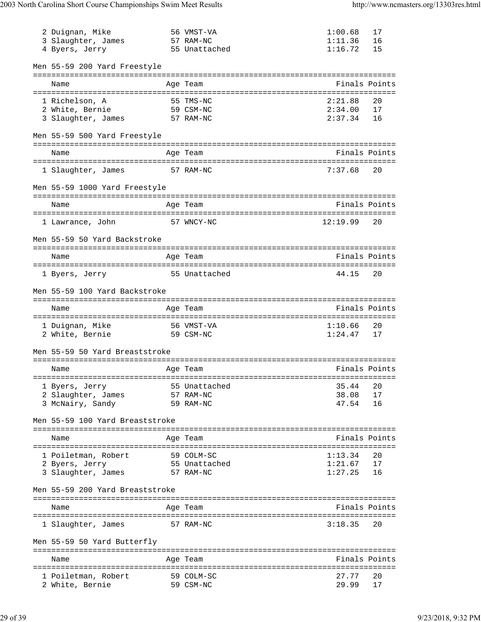| 2 Duignan, Mike<br>3 Slaughter, James<br>4 Byers, Jerry |          | 56 VMST-VA<br>57 RAM-NC<br>55 Unattached   | 1:00.68<br>1:11.36<br>1:16.72 | 17<br>16<br>15             |
|---------------------------------------------------------|----------|--------------------------------------------|-------------------------------|----------------------------|
| Men 55-59 200 Yard Freestyle                            |          |                                            |                               |                            |
| Name                                                    |          | ==============================<br>Age Team |                               | Finals Points              |
| 1 Richelson, A                                          |          | 55 TMS-NC                                  | 2:21.88                       | 20                         |
| 2 White, Bernie                                         |          | 59 CSM-NC                                  | 2:34.00                       | 17                         |
| 3 Slaughter, James                                      |          | 57 RAM-NC                                  | 2:37.34                       | 16                         |
| Men 55-59 500 Yard Freestyle                            |          |                                            |                               |                            |
| Name                                                    |          | Age Team                                   |                               | Finals Points              |
| 1 Slaughter, James                                      |          | 57 RAM-NC                                  | 7:37.68                       | 20                         |
| Men 55-59 1000 Yard Freestyle                           |          | =============================              |                               |                            |
| Name                                                    |          | Age Team                                   |                               | Finals Points              |
| 1 Lawrance, John                                        |          | 57 WNCY-NC                                 | 12:19.99                      | 20                         |
| Men 55-59 50 Yard Backstroke                            |          |                                            |                               |                            |
| Name                                                    |          | Age Team                                   |                               | Finals Points              |
| 1 Byers, Jerry                                          |          | 55 Unattached                              | 44.15                         | 20                         |
| Men 55-59 100 Yard Backstroke                           |          |                                            |                               |                            |
| Name<br>=========================                       |          | Age Team                                   |                               | Finals Points              |
| 1 Duignan, Mike                                         |          | :==============<br>56 VMST-VA              | ==================<br>1:10.66 | 20                         |
| 2 White, Bernie                                         |          | 59 CSM-NC                                  | 1:24.47                       | 17                         |
| Men 55-59 50 Yard Breaststroke                          |          |                                            |                               |                            |
| Name<br>-------------------------                       |          | Age Team<br>-----------------------------  |                               | Finals Points<br>--------- |
| 1 Byers, Jerry                                          |          | 55 Unattached                              | 35.44                         | 20                         |
| 2 Slaughter, James                                      |          | 57 RAM-NC                                  | 38.08                         | 17                         |
| 3 McNairy, Sandy                                        |          | 59 RAM-NC                                  | 47.54                         | 16                         |
| Men 55-59 100 Yard Breaststroke                         |          |                                            |                               |                            |
| Name<br>=========================                       | ======== | Age Team                                   |                               | Finals Points              |
| 1 Poiletman, Robert                                     |          | 59 COLM-SC                                 | 1:13.34                       | 20                         |
| 2 Byers, Jerry                                          |          | 55 Unattached                              | 1:21.67                       | 17                         |
| 3 Slaughter, James                                      |          | 57 RAM-NC                                  | 1:27.25                       | 16                         |
| Men 55-59 200 Yard Breaststroke                         |          |                                            |                               |                            |
| Name                                                    |          | Age Team                                   |                               | Finals Points              |
| 1 Slaughter, James                                      |          | 57 RAM-NC                                  | 3:18.35                       | 20                         |
| Men 55-59 50 Yard Butterfly                             |          | ========                                   |                               |                            |
| Name                                                    |          | Age Team                                   |                               | Finals Points              |
|                                                         | ======== |                                            |                               |                            |
| 1 Poiletman, Robert                                     |          | 59 COLM-SC<br>59 CSM-NC                    | 27.77<br>29.99                | 20<br>17                   |
| 2 White, Bernie                                         |          |                                            |                               |                            |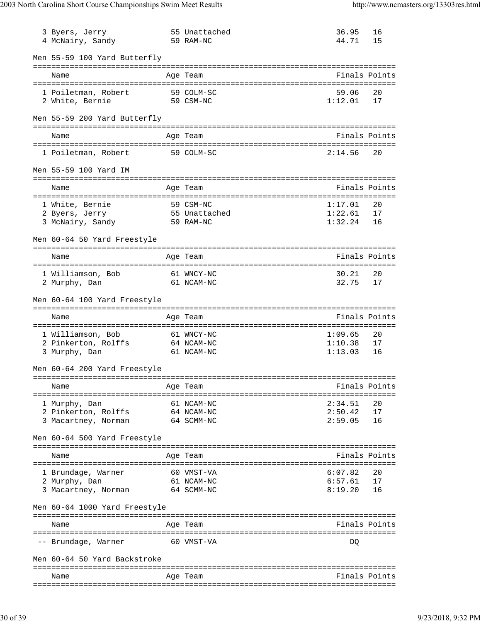| 3 Byers, Jerry                               | 55 Unattached                    | 36.95              | 16            |
|----------------------------------------------|----------------------------------|--------------------|---------------|
| 4 McNairy, Sandy                             | 59 RAM-NC                        | 44.71              | 15            |
| Men 55-59 100 Yard Butterfly                 |                                  |                    |               |
| Name                                         | Age Team                         |                    | Finals Points |
| 1 Poiletman, Robert                          | 59 COLM-SC                       | 59.06              | 20            |
| 59 CSM-NC<br>2 White, Bernie                 |                                  | 1:12.01            | 17            |
| Men 55-59 200 Yard Butterfly                 |                                  |                    |               |
| Name                                         | Age Team                         |                    | Finals Points |
| 1 Poiletman, Robert                          | 59 COLM-SC                       | 2:14.56            | 20            |
|                                              |                                  |                    |               |
| Men 55-59 100 Yard IM                        |                                  |                    |               |
| Name                                         | Age Team                         |                    | Finals Points |
| 1 White, Bernie                              | 59 CSM-NC                        | 1:17.01            | 20            |
| 2 Byers, Jerry 55 Unattached                 |                                  | 1:22.61            | 17            |
| 3 McNairy, Sandy<br>59 RAM-NC                |                                  | 1:32.24            | 16            |
| Men 60-64 50 Yard Freestyle                  |                                  |                    |               |
| Name                                         | Age Team                         |                    | Finals Points |
| 1 Williamson, Bob                            | 61 WNCY-NC                       | 30.21              | 20            |
| 2 Murphy, Dan                                | 61 NCAM-NC                       | 32.75              | 17            |
|                                              |                                  |                    |               |
| Men 60-64 100 Yard Freestyle                 |                                  |                    |               |
|                                              |                                  |                    |               |
| Name                                         | Age Team                         |                    | Finals Points |
| 1 Williamson, Bob                            | 61 WNCY-NC                       | 1:09.65            | 20            |
|                                              | 64 NCAM-NC                       | 1:10.38            | 17            |
| 2 Pinkerton, Rolffs<br>3 Murphy, Dan         | 61 NCAM-NC                       | 1:13.03            | 16            |
| Men 60-64 200 Yard Freestyle                 |                                  |                    |               |
| Name                                         | Age Team                         |                    | Finals Points |
| ===================================          | ================                 |                    |               |
| 1 Murphy, Dan                                | 61 NCAM-NC                       | 2:34.51            | 20            |
| 2 Pinkerton, Rolffs                          | 64 NCAM-NC                       | 2:50.42            | 17            |
| 3 Macartney, Norman                          | 64 SCMM-NC                       | 2:59.05            | 16            |
| Men 60-64 500 Yard Freestyle                 |                                  |                    |               |
| Name                                         | Age Team                         |                    | Finals Points |
|                                              |                                  |                    |               |
| 1 Brundage, Warner                           | 60 VMST-VA                       | 6:07.82            | 20            |
| 2 Murphy, Dan<br>3 Macartney, Norman         | 61 NCAM-NC<br>64 SCMM-NC         | 6:57.61<br>8:19.20 | 17<br>16      |
| Men 60-64 1000 Yard Freestyle                |                                  |                    |               |
|                                              | ==========<br>------------------ |                    |               |
| Name<br>==================================== | Age Team                         |                    | Finals Points |
| -- Brundage, Warner                          | 60 VMST-VA                       | DQ                 |               |
| Men 60-64 50 Yard Backstroke                 |                                  |                    |               |
| Name                                         | Age Team                         |                    | Finals Points |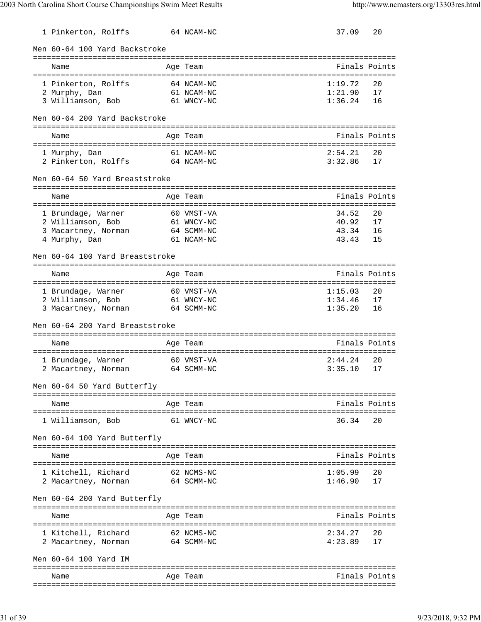| 1 Pinkerton, Rolffs                     | 64 NCAM-NC                      | 37.09   | 20            |
|-----------------------------------------|---------------------------------|---------|---------------|
| Men 60-64 100 Yard Backstroke           |                                 |         |               |
| Name                                    | Age Team                        |         | Finals Points |
| 1 Pinkerton, Rolffs                     | 64 NCAM-NC                      | 1:19.72 | 20            |
| 2 Murphy, Dan                           | 61 NCAM-NC                      | 1:21.90 | 17            |
| 3 Williamson, Bob 61 WNCY-NC            |                                 | 1:36.24 | 16            |
| Men 60-64 200 Yard Backstroke           |                                 |         |               |
| Name                                    | Age Team                        |         | Finals Points |
|                                         | =============================== |         |               |
| 1 Murphy, Dan                           | 61 NCAM-NC                      | 2:54.21 | 20            |
| 2 Pinkerton, Rolffs                     | 64 NCAM-NC                      | 3:32.86 | 17            |
| Men 60-64 50 Yard Breaststroke          |                                 |         |               |
| Name                                    | Age Team                        |         | Finals Points |
|                                         |                                 | 34.52   | 20            |
| 1 Brundage, Warner<br>2 Williamson, Bob | 60 VMST-VA<br>61 WNCY-NC        | 40.92   | 17            |
| 3 Macartney, Norman                     | 64 SCMM-NC                      | 43.34   | 16            |
| 4 Murphy, Dan                           | 61 NCAM-NC                      | 43.43   | 15            |
| Men 60-64 100 Yard Breaststroke         |                                 |         |               |
| Name                                    | =========<br>Age Team           |         | Finals Points |
|                                         |                                 |         |               |
| 1 Brundage, Warner                      | 60 VMST-VA                      | 1:15.03 | 20            |
| 2 Williamson, Bob                       | 61 WNCY-NC                      | 1:34.46 | 17            |
| 3 Macartney, Norman                     | 64 SCMM-NC                      | 1:35.20 | 16            |
| Men 60-64 200 Yard Breaststroke         |                                 |         |               |
| Name                                    | Age Team                        |         | Finals Points |
| 1 Brundage, Warner                      | 60 VMST-VA                      | 2:44.24 | 20            |
| 2 Macartney, Norman                     | 64 SCMM-NC                      | 3:35.10 | 17            |
| Men 60-64 50 Yard Butterfly             |                                 |         |               |
| ========================                | =========                       |         |               |
| Name                                    | Age Team                        |         | Finals Points |
| 1 Williamson, Bob                       | 61 WNCY-NC                      | 36.34   | 20            |
| Men 60-64 100 Yard Butterfly            |                                 |         |               |
| Name                                    | Age Team                        |         | Finals Points |
| 1 Kitchell, Richard                     | 62 NCMS-NC                      | 1:05.99 | 20            |
| 2 Macartney, Norman                     | 64 SCMM-NC                      | 1:46.90 | 17            |
| Men 60-64 200 Yard Butterfly            |                                 |         |               |
|                                         | ==========                      |         |               |
| Name                                    | Age Team                        |         | Finals Points |
| 1 Kitchell, Richard                     | 62 NCMS-NC                      | 2:34.27 | 20            |
| 2 Macartney, Norman                     | 64 SCMM-NC                      | 4:23.89 | 17            |
| Men 60-64 100 Yard IM                   |                                 |         |               |
|                                         |                                 |         |               |
| Name                                    | Age Team                        |         | Finals Points |
|                                         |                                 |         |               |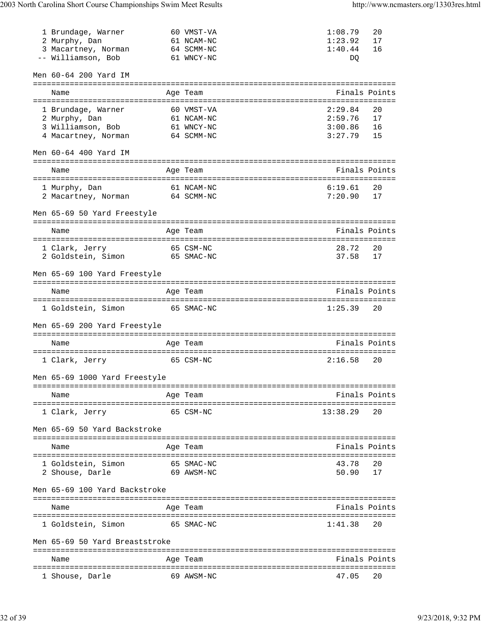| 1 Brundage, Warner             | 60 VMST-VA                      | 1:08.79  | 20            |
|--------------------------------|---------------------------------|----------|---------------|
| 2 Murphy, Dan                  | 61 NCAM-NC                      | 1:23.92  | 17            |
| 3 Macartney, Norman            | 64 SCMM-NC                      | 1:40.44  | 16            |
| -- Williamson, Bob             | 61 WNCY-NC                      | DQ       |               |
|                                |                                 |          |               |
| Men 60-64 200 Yard IM          |                                 |          |               |
|                                | =============================== |          |               |
| Name                           | Age Team                        |          | Finals Points |
|                                |                                 |          |               |
| 1 Brundage, Warner             | 60 VMST-VA                      | 2:29.84  | 20            |
| 2 Murphy, Dan                  | 61 NCAM-NC                      | 2:59.76  | 17            |
| 3 Williamson, Bob              | 61 WNCY-NC                      | 3:00.86  | 16            |
| 4 Macartney, Norman            | 64 SCMM-NC                      | 3:27.79  | 15            |
|                                |                                 |          |               |
| Men 60-64 400 Yard IM          |                                 |          |               |
|                                |                                 |          |               |
| Name                           | Age Team                        |          | Finals Points |
|                                |                                 |          |               |
| 1 Murphy, Dan                  | 61 NCAM-NC                      | 6:19.61  | 20            |
| 2 Macartney, Norman 64 SCMM-NC |                                 | 7:20.90  | 17            |
|                                |                                 |          |               |
| Men 65-69 50 Yard Freestyle    |                                 |          |               |
|                                |                                 |          |               |
| Name                           | Age Team                        |          | Finals Points |
|                                |                                 |          |               |
| 1 Clark, Jerry                 | 65 CSM-NC                       | 28.72    | 20            |
| 2 Goldstein, Simon 65 SMAC-NC  |                                 | 37.58    | 17            |
|                                |                                 |          |               |
| Men 65-69 100 Yard Freestyle   |                                 |          |               |
|                                |                                 |          |               |
| Name                           | Age Team                        |          | Finals Points |
|                                |                                 |          |               |
|                                |                                 |          |               |
| 1 Goldstein, Simon             | 65 SMAC-NC                      | 1:25.39  | 20            |
|                                |                                 |          |               |
| Men 65-69 200 Yard Freestyle   |                                 |          |               |
|                                |                                 |          |               |
| Name                           | Age Team                        |          | Finals Points |
|                                |                                 |          |               |
| 1 Clark, Jerry                 | 65 CSM-NC                       | 2:16.58  | 20            |
|                                |                                 |          |               |
| Men 65-69 1000 Yard Freestyle  |                                 |          |               |
|                                |                                 |          |               |
| Name                           | Age Team                        |          | Finals Points |
|                                |                                 |          |               |
| 1 Clark, Jerry                 | 65 CSM-NC                       | 13:38.29 | 20            |
|                                |                                 |          |               |
| Men 65-69 50 Yard Backstroke   |                                 |          |               |
|                                |                                 |          |               |
| Name                           | Age Team                        |          | Finals Points |
|                                |                                 |          |               |
| 1 Goldstein, Simon             | 65 SMAC-NC                      | 43.78    | 20            |
| 2 Shouse, Darle                | 69 AWSM-NC                      | 50.90    | 17            |
|                                |                                 |          |               |
| Men 65-69 100 Yard Backstroke  |                                 |          |               |
|                                |                                 |          |               |
| Name                           | Age Team                        |          | Finals Points |
|                                |                                 |          |               |
| 1 Goldstein, Simon             | 65 SMAC-NC                      | 1:41.38  | 20            |
|                                |                                 |          |               |
| Men 65-69 50 Yard Breaststroke |                                 |          |               |
|                                |                                 |          |               |
| Name                           | Age Team                        |          | Finals Points |
| 1 Shouse, Darle                |                                 |          |               |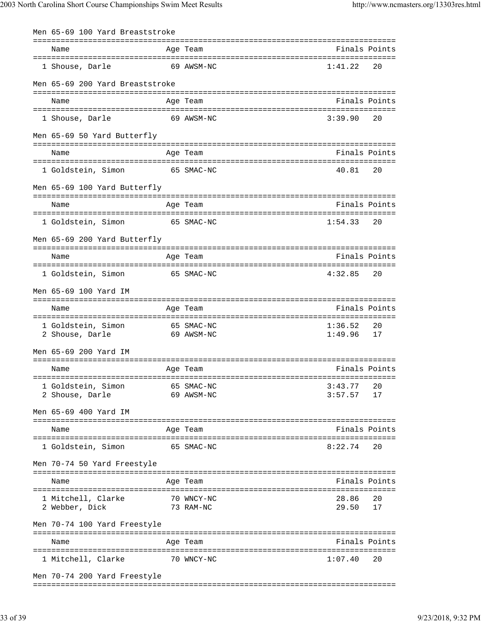| Men 65-69 100 Yard Breaststroke                             |         |                                                     |                    |               |
|-------------------------------------------------------------|---------|-----------------------------------------------------|--------------------|---------------|
| Name                                                        |         | Age Team                                            |                    | Finals Points |
| 1 Shouse, Darle                                             |         | 69 AWSM-NC                                          | 1:41.22            | 20            |
| Men 65-69 200 Yard Breaststroke                             |         |                                                     |                    |               |
| Name                                                        |         | ==========<br>Age Team                              |                    | Finals Points |
| 1 Shouse, Darle                                             |         | 69 AWSM-NC                                          | 3:39.90            | 20            |
| Men 65-69 50 Yard Butterfly                                 |         |                                                     |                    |               |
| Name                                                        |         | Age Team                                            |                    | Finals Points |
| 1 Goldstein, Simon                                          |         | 65 SMAC-NC                                          | 40.81              | 20            |
| Men 65-69 100 Yard Butterfly                                |         |                                                     |                    |               |
| Name                                                        |         | ========<br>Age Team                                |                    | Finals Points |
| 1 Goldstein, Simon                                          |         | =====================================<br>65 SMAC-NC | 1:54.33            | 20            |
| Men 65-69 200 Yard Butterfly                                |         |                                                     |                    |               |
| Name                                                        |         | Age Team                                            |                    | Finals Points |
|                                                             |         |                                                     |                    |               |
| 1 Goldstein, Simon                                          |         | 65 SMAC-NC                                          | 4:32.85            | 20            |
| Men 65-69 100 Yard IM                                       |         |                                                     |                    |               |
| Name                                                        | ======= | Aqe Team                                            |                    | Finals Points |
| 1 Goldstein, Simon<br>2 Shouse, Darle                       |         | 65 SMAC-NC<br>69 AWSM-NC                            | 1:36.52<br>1:49.96 | 20<br>17      |
| Men 65-69 200 Yard IM                                       |         |                                                     |                    |               |
|                                                             |         |                                                     |                    |               |
| Name<br>=============================                       |         | Age Team                                            |                    | Finals Points |
| 1 Goldstein, Simon 65 SMAC-NC<br>2 Shouse, Darle 69 AWSM-NC |         |                                                     | 3:43.77            | 20            |
| 2 Shouse, Darle                                             |         |                                                     | 3:57.57            | 17            |
| Men 65-69 400 Yard IM                                       |         |                                                     |                    |               |
| Name                                                        |         | Age Team                                            | Finals Points      |               |
| 1 Goldstein, Simon                                          |         | 65 SMAC-NC                                          | 8:22.74            | 20            |
| Men 70-74 50 Yard Freestyle                                 |         |                                                     |                    |               |
| Name                                                        |         | Age Team                                            |                    | Finals Points |
| 1 Mitchell, Clarke                                          |         | 70 WNCY-NC                                          | 28.86              | 20            |
| 73 RAM-NC<br>2 Webber, Dick                                 |         |                                                     | 29.50              | 17            |
| Men 70-74 100 Yard Freestyle                                |         |                                                     |                    |               |
| Name                                                        |         | Age Team                                            | Finals Points      |               |
| 1 Mitchell, Clarke 70 WNCY-NC                               |         |                                                     | 1:07.40            | 20            |
| Men 70-74 200 Yard Freestyle                                |         |                                                     |                    |               |
|                                                             |         |                                                     |                    |               |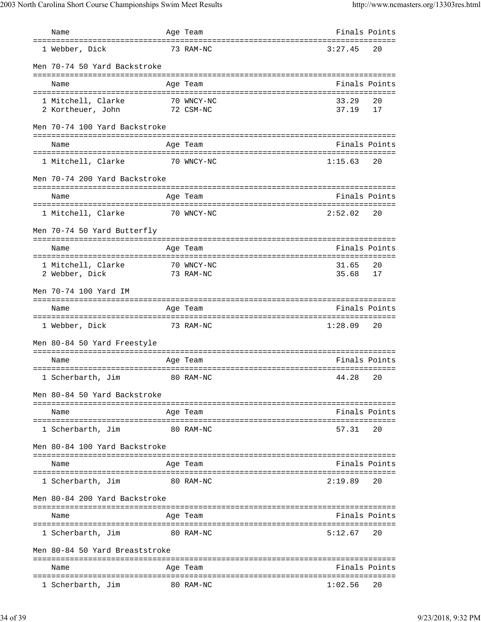| Name                                                   | Age Team                                      | Finals Points  |               |
|--------------------------------------------------------|-----------------------------------------------|----------------|---------------|
| ====================================<br>1 Webber, Dick | --------------------------------<br>73 RAM-NC | 3:27.45        | 20            |
| Men 70-74 50 Yard Backstroke                           |                                               |                |               |
| Name                                                   | Age Team                                      |                | Finals Points |
| 1 Mitchell, Clarke<br>2 Kortheuer, John 72 CSM-NC      | 70 WNCY-NC                                    | 33.29<br>37.19 | 20<br>17      |
| Men 70-74 100 Yard Backstroke                          |                                               |                |               |
| Name                                                   | Age Team                                      |                | Finals Points |
| 1 Mitchell, Clarke                                     | 70 WNCY-NC                                    | 1:15.63        | 20            |
| Men 70-74 200 Yard Backstroke                          |                                               |                |               |
| Name                                                   | Age Team                                      |                | Finals Points |
| 1 Mitchell, Clarke                                     | 70 WNCY-NC                                    | 2:52.02        | 20            |
| Men 70-74 50 Yard Butterfly                            |                                               |                |               |
| Name                                                   | Age Team                                      | Finals Points  |               |
| 1 Mitchell, Clarke                                     | 70 WNCY-NC                                    | 31.65          | 20            |
| 2 Webber, Dick                                         | 73 RAM-NC                                     | 35.68          | 17            |
| Men 70-74 100 Yard IM                                  |                                               |                |               |
| Name                                                   | Age Team                                      |                | Finals Points |
| 1 Webber, Dick<br>73 RAM-NC                            |                                               | 1:28.09        | 20            |
| Men 80-84 50 Yard Freestyle                            |                                               |                |               |
| Name                                                   | Age Team                                      |                | Finals Points |
| 1 Scherbarth, Jim 60 RAM-NC                            |                                               | 44.28 20       |               |
| Men 80-84 50 Yard Backstroke                           |                                               |                |               |
| Name                                                   | Age Team                                      |                | Finals Points |
| 1 Scherbarth, Jim                                      | 80 RAM-NC                                     | 57.31          | 20            |
| Men 80-84 100 Yard Backstroke                          |                                               |                |               |
| Name                                                   | Age Team                                      |                | Finals Points |
| 1 Scherbarth, Jim                                      | 80 RAM-NC                                     | 2:19.89        | 20            |
| Men 80-84 200 Yard Backstroke                          |                                               |                |               |
| Name                                                   | Age Team                                      | Finals Points  |               |
| 1 Scherbarth, Jim                                      | 80 RAM-NC                                     | 5:12.67        | 20            |
| Men 80-84 50 Yard Breaststroke                         |                                               |                |               |
| Name                                                   | Age Team                                      |                | Finals Points |
| 1 Scherbarth, Jim                                      | 80 RAM-NC                                     | 1:02.56        | 20            |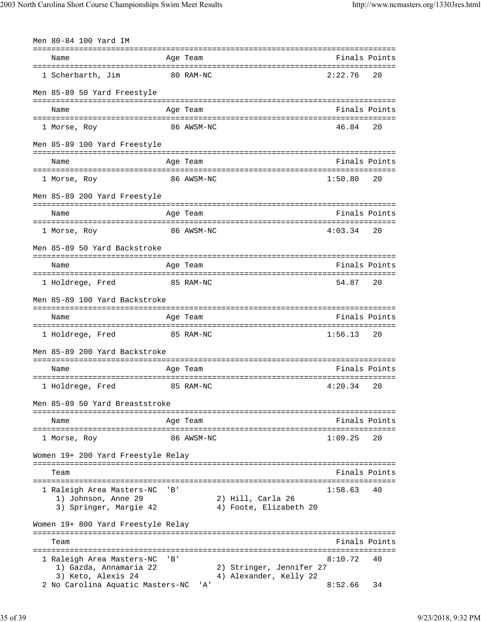| Men 80-84 100 Yard IM                                                      |           |            |                                             |                                 |               |
|----------------------------------------------------------------------------|-----------|------------|---------------------------------------------|---------------------------------|---------------|
| Name                                                                       |           | Age Team   |                                             | =============================== | Finals Points |
| 1 Scherbarth, Jim                                                          |           | 80 RAM-NC  |                                             | 2:22.76                         | 20            |
| Men 85-89 50 Yard Freestyle                                                |           |            |                                             |                                 |               |
| Name                                                                       |           | Age Team   |                                             |                                 | Finals Points |
| 1 Morse, Roy                                                               |           | 86 AWSM-NC |                                             | 46.84                           | 20            |
| Men 85-89 100 Yard Freestyle                                               |           |            |                                             |                                 |               |
| Name                                                                       |           | Age Team   |                                             |                                 | Finals Points |
| 1 Morse, Roy                                                               |           | 86 AWSM-NC |                                             | 1:50.80                         | 20            |
| Men 85-89 200 Yard Freestyle                                               |           |            |                                             |                                 |               |
| Name                                                                       |           | Age Team   |                                             |                                 | Finals Points |
| 1 Morse, Roy                                                               |           | 86 AWSM-NC |                                             | 4:03.34                         | 20            |
| Men 85-89 50 Yard Backstroke                                               |           |            |                                             |                                 |               |
| Name                                                                       |           | Age Team   |                                             |                                 | Finals Points |
| 1 Holdrege, Fred                                                           |           | 85 RAM-NC  |                                             | 54.87                           | 20            |
| Men 85-89 100 Yard Backstroke                                              |           |            |                                             |                                 |               |
| Name                                                                       |           | Age Team   |                                             |                                 | Finals Points |
| 1 Holdrege, Fred                                                           |           | 85 RAM-NC  |                                             | 1:56.13                         | 20            |
| Men 85-89 200 Yard Backstroke                                              |           |            |                                             |                                 |               |
| Name                                                                       |           | Age Team   |                                             |                                 | Finals Points |
| 1 Holdrege, Fred                                                           |           | 85 RAM-NC  |                                             | 4:20.34                         | 20            |
| Men 85-89 50 Yard Breaststroke                                             |           |            |                                             |                                 |               |
| ------------------------------<br>Name                                     |           | Age Team   | --------------------------------------      |                                 | Finals Points |
| 1 Morse, Roy                                                               |           | 86 AWSM-NC |                                             | 1:09.25                         | 20            |
| Women 19+ 200 Yard Freestyle Relay                                         |           |            |                                             |                                 |               |
| Team                                                                       |           |            |                                             |                                 | Finals Points |
| 1 Raleigh Area Masters-NC<br>1) Johnson, Anne 29<br>3) Springer, Margie 42 | ' B '     |            | 2) Hill, Carla 26<br>4) Foote, Elizabeth 20 | 1:58.63                         | 40            |
| Women 19+ 800 Yard Freestyle Relay                                         |           |            |                                             |                                 |               |
| Team                                                                       |           |            |                                             | -------------------------       | Finals Points |
| 1 Raleigh Area Masters-NC<br>1) Gazda, Annamaria 22                        | $'$ B $'$ |            | 2) Stringer, Jennifer 27                    | ====================<br>8:10.72 | 40            |
| 3) Keto, Alexis 24<br>2 No Carolina Aquatic Masters-NC                     |           | 'A'        | 4) Alexander, Kelly 22                      | 8:52.66                         | 34            |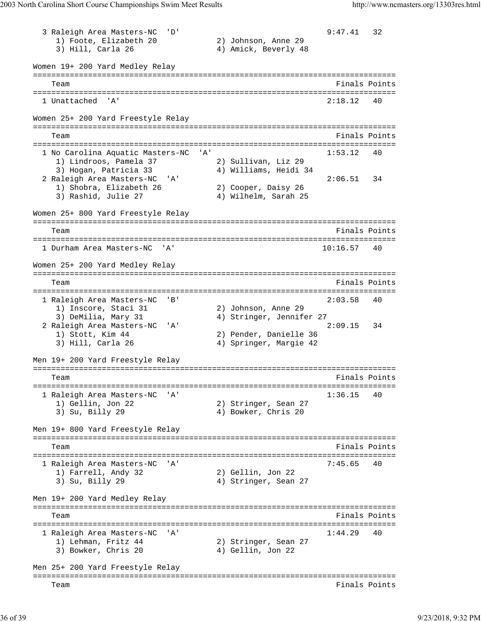3 Raleigh Area Masters-NC 'D' 9:47.41 32<br>
1) Foote, Elizabeth 20 2) Johnson, Anne 29 1) Foote, Elizabeth 20 3) Hill, Carla 26 4) Amick, Beverly 48 Women 19+ 200 Yard Medley Relay =============================================================================== Team Finals Points =============================================================================== 1 Unattached 'A' 2:18.12 40 Women 25+ 200 Yard Freestyle Relay =============================================================================== Team Finals Points Points Points Points Points Points Points Points Points Points Points Points Points Points Points Points Points Points Points Points Points Points Points Points Points Points Points Points Points Points =============================================================================== 1 No Carolina Aquatic Masters-NC 'A' 1) Lindroos, Pamela 37 2) Sullivan, Liz 29 3) Hogan, Patricia 33 4) Williams, Heidi 34 2 Raleigh Area Masters-NC 'A' 2:06.51 34 1) Shobra, Elizabeth 26 2) Cooper, Daisy 26 3) Rashid, Julie 27 (4) Wilhelm, Sarah 25 Women 25+ 800 Yard Freestyle Relay =============================================================================== Team Finals Points Points All the Second Second Second Second Second Second Second Second Second Second Second Second Second Second Second Second Second Second Second Second Second Second Second Second Second Second Second =============================================================================== 1 Durham Area Masters-NC 'A' Women 25+ 200 Yard Medley Relay =============================================================================== Team **Finals Points** =============================================================================== 1 Raleigh Area Masters-NC 'B' 2:03.58 40 1) Inscore, Staci 31 2) Johnson, Anne 29 3) DeMilia, Mary 31 4) Stringer, Jennifer 27 2 Raleigh Area Masters-NC 'A' 2:09.15 34 1) Stott, Kim 44 2) Pender, Danielle 36 3) Hill, Carla 26 4) Springer, Margie 42 Men 19+ 200 Yard Freestyle Relay =============================================================================== Team Finals Points =============================================================================== 1 Raleigh Area Masters-NC 'A' 1:36.15 40 1) Gellin, Jon 22 2) Stringer, Sean 27 3) Su, Billy 29 4) Bowker, Chris 20 Men 19+ 800 Yard Freestyle Relay =============================================================================== Team Finals Points Points Points Points Points Points Points Points Points Points Points Points Points Points Points Points Points Points Points Points Points Points Points Points Points Points Points Points Points Points =============================================================================== 1 Raleigh Area Masters-NC 'A' 32<br>
1) Farrell, Andy 32 32 32 32 32 32 1) Farrell, Andy 32<br>3) Su, Billy 29 4) Stringer, Sean 27 Men 19+ 200 Yard Medley Relay =============================================================================== Team Finals Points =============================================================================== 1 Raleigh Area Masters-NC 'A' 1:44.29 40 1) Lehman, Fritz 44 2) Stringer, Sean 27 3) Bowker, Chris 20 4) Gellin, Jon 22 Men 25+ 200 Yard Freestyle Relay =============================================================================== Team Finals Points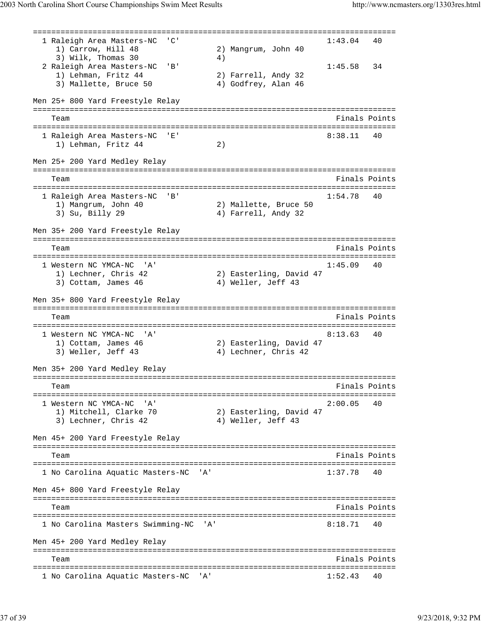=============================================================================== 1 Raleigh Area Masters-NC 'C' 1) Carrow, Hill 48 2) Mangrum, John 40  $3)$  Wilk, Thomas  $30$   $4)$ 2 Raleigh Area Masters-NC 'B' 1:45.58 34<br>1) Lehman, Fritz 44 2) Farrell, Andy 32 1) Lehman, Fritz 44 3) Mallette, Bruce 50 4) Godfrey, Alan 46 Men 25+ 800 Yard Freestyle Relay =============================================================================== Team Finals Points =============================================================================== 1 Raleigh Area Masters-NC 'E'<br>1) Lehman, Fritz 44 (2) 1) Lehman, Fritz 44 2) Men 25+ 200 Yard Medley Relay =============================================================================== Team Finals Points =============================================================================== 1 Raleigh Area Masters-NC 'B' 1:54.78 40 1) Mangrum, John 40 2) Mallette, Bruce 50 3) Su, Billy 29 4) Farrell, Andy 32 Men 35+ 200 Yard Freestyle Relay =============================================================================== Team Finals Points =============================================================================== 1 Western NC YMCA-NC 'A' 1:45.09 40<br>1) Lechner, Chris 42 2) Easterling, David 47 2) Easterling, David 47 3) Cottam, James 46 4) Weller, Jeff 43 Men 35+ 800 Yard Freestyle Relay =============================================================================== Team Finals Points =============================================================================== 1 Western NC YMCA-NC 'A' 2) Easterling, David 47<br>4) Lechner, Chris 42 1) Cottam, James 46<br>3) Weller, Jeff 43 Men 35+ 200 Yard Medley Relay =============================================================================== Team **Finals Points** =============================================================================== 1 Western NC YMCA-NC 'A' 2:00.05 40 1) Mitchell, Clarke 70 2) Easterling, David 47 3) Lechner, Chris 42 (4) Weller, Jeff 43 Men 45+ 200 Yard Freestyle Relay =============================================================================== Team Finals Points =============================================================================== 1 No Carolina Aquatic Masters-NC 'A' 1:37.78 Men 45+ 800 Yard Freestyle Relay =============================================================================== Team Finals Points =============================================================================== 1 No Carolina Masters Swimming-NC 'A' 8:18.71 40 Men 45+ 200 Yard Medley Relay =============================================================================== Team Finals Points =============================================================================== 1 No Carolina Aquatic Masters-NC 'A' 1:52.43 40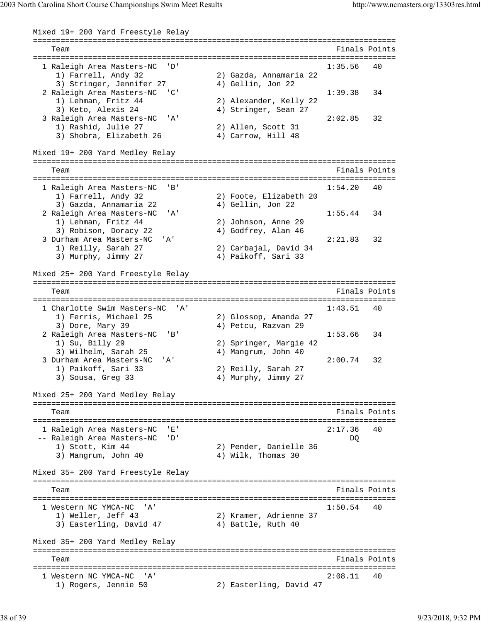Mixed 19+ 200 Yard Freestyle Relay =============================================================================== Team Finals Points =============================================================================== 1 Raleigh Area Masters-NC 'D' 1:35.56 40 1) Farrell, Andy 32 2) Gazda, Annamaria 22 3) Stringer, Jennifer 27 (4) Gellin, Jon 22 2 Raleigh Area Masters-NC 'C' 1:39.38 34 1) Lehman, Fritz 44 2) Alexander, Kelly 22 3) Keto, Alexis 24 (4) Stringer, Sean 27 3 Raleigh Area Masters-NC 'A' 2:02.85 32 1) Rashid, Julie 27 2) Allen, Scott 31 3) Shobra, Elizabeth 26  $\qquad \qquad$  4) Carrow, Hill 48 Mixed 19+ 200 Yard Medley Relay =============================================================================== Team Finals Points =============================================================================== 1 Raleigh Area Masters-NC 'B' 1:54.20 40 1) Farrell, Andy 32 2) Foote, Elizabeth 20 3) Gazda, Annamaria 22  $\hspace{1cm}$  4) Gellin, Jon 22 2 Raleigh Area Masters-NC 'A' 1:55.44 34<br>1) Lehman, Fritz 44 2) Johnson, Anne 29 1) Lehman, Fritz 44 2) Johnson, Anne 29 3) Robison, Doracy 22 (4) Godfrey, Alan 46 1) Definially First 11<br>
3) Robison, Doracy 22<br>
3 Durham Area Masters-NC 'A' 2:21.83 32<br>
1) Reilly, Sarah 27 2) Carbajal, David 34 1) Reilly, Sarah 27 2) Carbajal, David 34 3) Murphy, Jimmy 27 4) Paikoff, Sari 33 Mixed 25+ 200 Yard Freestyle Relay =============================================================================== Team Finals Points =============================================================================== 1 Charlotte Swim Masters-NC 'A' 1:43.51 40 1) Ferris, Michael 25 2) Glossop, Amanda 27 3) Dore, Mary 39  $\hspace{1cm}$  4) Petcu, Razvan 29 2 Raleigh Area Masters-NC 'B' 1:53.66 34<br>
1) Su, Billy 29 2) Springer, Margie 42<br>
3) Wilhelm, Sarah 25 4) Mangrum, John 40 1) Su, Billy 29 2) Springer, Margie 42 3) Wilhelm, Sarah 25 **4) Mangrum, John 40**  3 Durham Area Masters-NC 'A' 2:00.74 32 1) Paikoff, Sari 33 2) Reilly, Sarah 27<br>3) Sousa, Greg 33 3 4) Murphy, Jimmy 27 3) Sousa, Greg 33 Mixed 25+ 200 Yard Medley Relay =============================================================================== Team Finals Points =============================================================================== 1 Raleigh Area Masters-NC 'E' 2:17.36 40 -- Raleigh Area Masters-NC 'D'<br>1) Stott, Kim 44 2) Pender, Danielle 36 1) Stott, Kim 44 2) Pender, Danielle 36 3) Mangrum, John 40 4) Wilk, Thomas 30 Mixed 35+ 200 Yard Freestyle Relay =============================================================================== Team Finals Points =============================================================================== 1 Western NC YMCA-NC 'A' 1:50.54 40 1) Weller, Jeff 43 2) Kramer, Adrienne 37 3) Easterling, David 47 (4) Battle, Ruth 40 Mixed 35+ 200 Yard Medley Relay =============================================================================== Team Finals Points =============================================================================== 1 Western NC YMCA-NC 'A' 2:08.11 40 1) Rogers, Jennie 50 2) Easterling, David 47